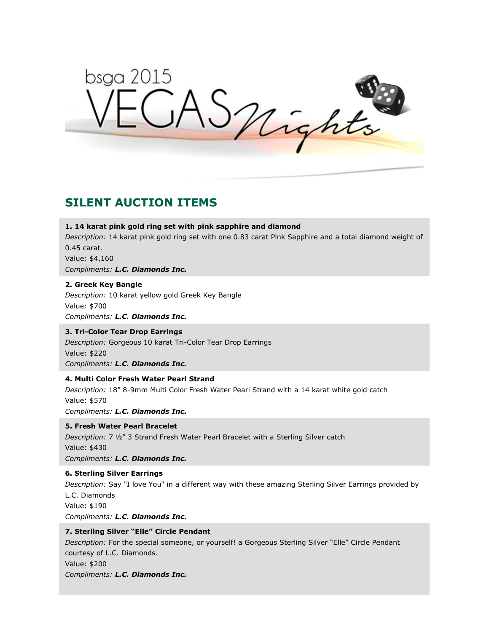bsga 2015 AS Mights

# **SILENT AUCTION ITEMS**

#### **1. 14 karat pink gold ring set with pink sapphire and diamond**

*Description:* 14 karat pink gold ring set with one 0.83 carat Pink Sapphire and a total diamond weight of 0.45 carat.

Value: \$4,160

*Compliments: L.C. Diamonds Inc.*

#### **2. Greek Key Bangle**

*Description:* 10 karat yellow gold Greek Key Bangle Value: \$700 *Compliments: L.C. Diamonds Inc.*

# **3. Tri-Color Tear Drop Earrings**

*Description:* Gorgeous 10 karat Tri-Color Tear Drop Earrings Value: \$220 *Compliments: L.C. Diamonds Inc.*

#### **4. Multi Color Fresh Water Pearl Strand**

*Description:* 18" 8-9mm Multi Color Fresh Water Pearl Strand with a 14 karat white gold catch Value: \$570 *Compliments: L.C. Diamonds Inc.*

#### **5. Fresh Water Pearl Bracelet**

*Description:* 7 ½" 3 Strand Fresh Water Pearl Bracelet with a Sterling Silver catch Value: \$430 *Compliments: L.C. Diamonds Inc.*

#### **6. Sterling Silver Earrings**

*Description:* Say "I love You" in a different way with these amazing Sterling Silver Earrings provided by L.C. Diamonds Value: \$190 *Compliments: L.C. Diamonds Inc.*

### **7. Sterling Silver "Elle" Circle Pendant**

*Description:* For the special someone, or yourself! a Gorgeous Sterling Silver "Elle" Circle Pendant courtesy of L.C. Diamonds. Value: \$200 *Compliments: L.C. Diamonds Inc.*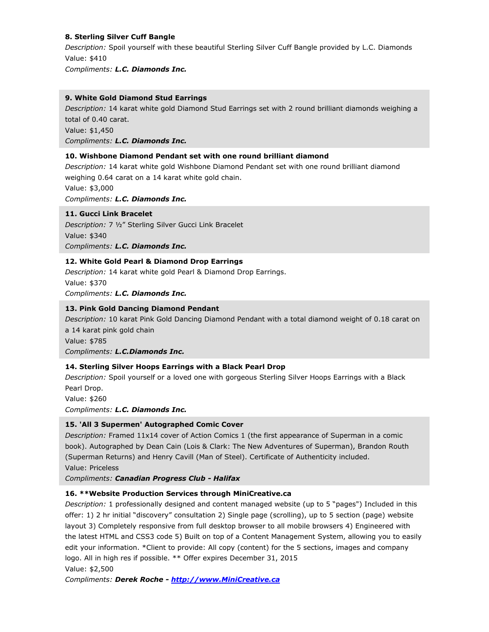# **8. Sterling Silver Cuff Bangle**

*Description:* Spoil yourself with these beautiful Sterling Silver Cuff Bangle provided by L.C. Diamonds Value: \$410

*Compliments: L.C. Diamonds Inc.*

# **9. White Gold Diamond Stud Earrings**

*Description:* 14 karat white gold Diamond Stud Earrings set with 2 round brilliant diamonds weighing a total of 0.40 carat. Value: \$1,450

*Compliments: L.C. Diamonds Inc.*

# **10. Wishbone Diamond Pendant set with one round brilliant diamond**

*Description:* 14 karat white gold Wishbone Diamond Pendant set with one round brilliant diamond weighing 0.64 carat on a 14 karat white gold chain.

Value: \$3,000

*Compliments: L.C. Diamonds Inc.*

# **11. Gucci Link Bracelet**

*Description:* 7 ½" Sterling Silver Gucci Link Bracelet Value: \$340 *Compliments: L.C. Diamonds Inc.*

# **12. White Gold Pearl & Diamond Drop Earrings**

*Description:* 14 karat white gold Pearl & Diamond Drop Earrings. Value: \$370 *Compliments: L.C. Diamonds Inc.*

# **13. Pink Gold Dancing Diamond Pendant**

*Description:* 10 karat Pink Gold Dancing Diamond Pendant with a total diamond weight of 0.18 carat on a 14 karat pink gold chain Value: \$785 *Compliments: L.C.Diamonds Inc.*

# **14. Sterling Silver Hoops Earrings with a Black Pearl Drop**

*Description:* Spoil yourself or a loved one with gorgeous Sterling Silver Hoops Earrings with a Black Pearl Drop.

Value: \$260

*Compliments: L.C. Diamonds Inc.*

# **15. 'All 3 Supermen' Autographed Comic Cover**

*Description:* Framed 11x14 cover of Action Comics 1 (the first appearance of Superman in a comic book). Autographed by Dean Cain (Lois & Clark: The New Adventures of Superman), Brandon Routh (Superman Returns) and Henry Cavill (Man of Steel). Certificate of Authenticity included. Value: Priceless

*Compliments: Canadian Progress Club - Halifax*

# **16. \*\*Website Production Services through MiniCreative.ca**

*Description:* 1 professionally designed and content managed website (up to 5 "pages") Included in this offer: 1) 2 hr initial "discovery" consultation 2) Single page (scrolling), up to 5 section (page) website layout 3) Completely responsive from full desktop browser to all mobile browsers 4) Engineered with the latest HTML and CSS3 code 5) Built on top of a Content Management System, allowing you to easily edit your information. \*Client to provide: All copy (content) for the 5 sections, images and company logo. All in high res if possible. \*\* Offer expires December 31, 2015 Value: \$2,500

*Compliments: Derek Roche - [http://www.MiniCreative.ca](http://www.minicreative.ca/)*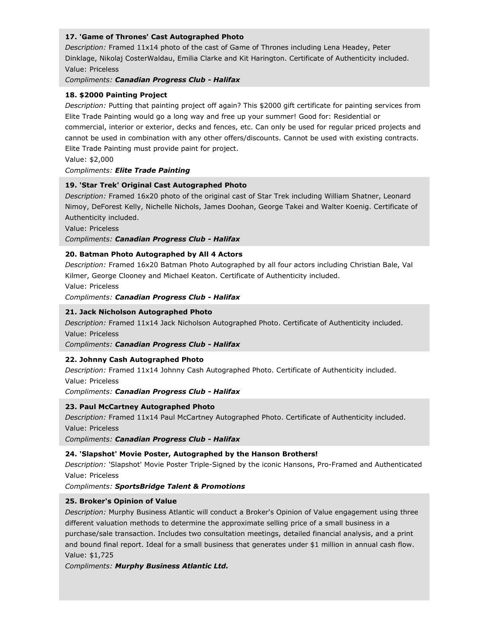# **17. 'Game of Thrones' Cast Autographed Photo**

*Description:* Framed 11x14 photo of the cast of Game of Thrones including Lena Headey, Peter Dinklage, Nikolaj CosterWaldau, Emilia Clarke and Kit Harington. Certificate of Authenticity included. Value: Priceless

*Compliments: Canadian Progress Club - Halifax*

#### **18. \$2000 Painting Project**

*Description:* Putting that painting project off again? This \$2000 gift certificate for painting services from Elite Trade Painting would go a long way and free up your summer! Good for: Residential or commercial, interior or exterior, decks and fences, etc. Can only be used for regular priced projects and cannot be used in combination with any other offers/discounts. Cannot be used with existing contracts. Elite Trade Painting must provide paint for project.

Value: \$2,000

### *Compliments: Elite Trade Painting*

#### **19. 'Star Trek' Original Cast Autographed Photo**

*Description:* Framed 16x20 photo of the original cast of Star Trek including William Shatner, Leonard Nimoy, DeForest Kelly, Nichelle Nichols, James Doohan, George Takei and Walter Koenig. Certificate of Authenticity included.

Value: Priceless

*Compliments: Canadian Progress Club - Halifax*

#### **20. Batman Photo Autographed by All 4 Actors**

*Description:* Framed 16x20 Batman Photo Autographed by all four actors including Christian Bale, Val Kilmer, George Clooney and Michael Keaton. Certificate of Authenticity included.

Value: Priceless

*Compliments: Canadian Progress Club - Halifax*

#### **21. Jack Nicholson Autographed Photo**

*Description:* Framed 11x14 Jack Nicholson Autographed Photo. Certificate of Authenticity included. Value: Priceless

*Compliments: Canadian Progress Club - Halifax*

#### **22. Johnny Cash Autographed Photo**

*Description:* Framed 11x14 Johnny Cash Autographed Photo. Certificate of Authenticity included.

Value: Priceless

*Compliments: Canadian Progress Club - Halifax*

# **23. Paul McCartney Autographed Photo**

*Description:* Framed 11x14 Paul McCartney Autographed Photo. Certificate of Authenticity included. Value: Priceless

*Compliments: Canadian Progress Club - Halifax*

#### **24. 'Slapshot' Movie Poster, Autographed by the Hanson Brothers!**

*Description:* 'Slapshot' Movie Poster Triple-Signed by the iconic Hansons, Pro-Framed and Authenticated Value: Priceless

*Compliments: SportsBridge Talent & Promotions*

#### **25. Broker's Opinion of Value**

*Description:* Murphy Business Atlantic will conduct a Broker's Opinion of Value engagement using three different valuation methods to determine the approximate selling price of a small business in a purchase/sale transaction. Includes two consultation meetings, detailed financial analysis, and a print and bound final report. Ideal for a small business that generates under \$1 million in annual cash flow. Value: \$1,725

*Compliments: Murphy Business Atlantic Ltd.*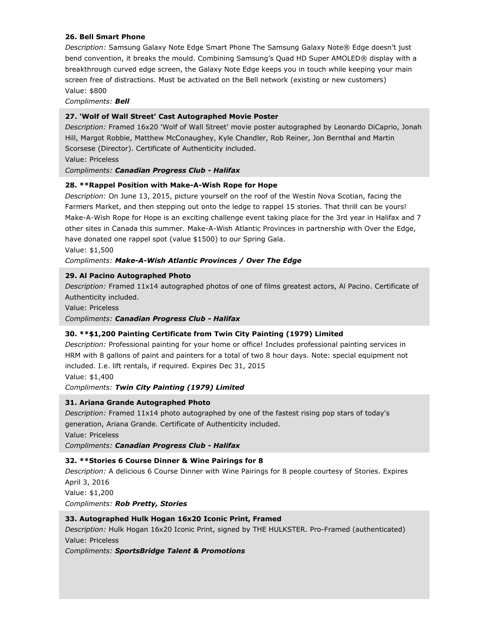### **26. Bell Smart Phone**

*Description:* Samsung Galaxy Note Edge Smart Phone The Samsung Galaxy Note® Edge doesn't just bend convention, it breaks the mould. Combining Samsung's Quad HD Super AMOLED® display with a breakthrough curved edge screen, the Galaxy Note Edge keeps you in touch while keeping your main screen free of distractions. Must be activated on the Bell network (existing or new customers) Value: \$800

*Compliments: Bell*

### **27. 'Wolf of Wall Street' Cast Autographed Movie Poster**

*Description:* Framed 16x20 'Wolf of Wall Street' movie poster autographed by Leonardo DiCaprio, Jonah Hill, Margot Robbie, Matthew McConaughey, Kyle Chandler, Rob Reiner, Jon Bernthal and Martin Scorsese (Director). Certificate of Authenticity included.

Value: Priceless

*Compliments: Canadian Progress Club - Halifax*

#### **28. \*\*Rappel Position with Make-A-Wish Rope for Hope**

*Description:* On June 13, 2015, picture yourself on the roof of the Westin Nova Scotian, facing the Farmers Market, and then stepping out onto the ledge to rappel 15 stories. That thrill can be yours! Make-A-Wish Rope for Hope is an exciting challenge event taking place for the 3rd year in Halifax and 7 other sites in Canada this summer. Make-A-Wish Atlantic Provinces in partnership with Over the Edge, have donated one rappel spot (value \$1500) to our Spring Gala.

Value: \$1,500

#### *Compliments: Make-A-Wish Atlantic Provinces / Over The Edge*

#### **29. Al Pacino Autographed Photo**

*Description:* Framed 11x14 autographed photos of one of films greatest actors, Al Pacino. Certificate of Authenticity included.

Value: Priceless

*Compliments: Canadian Progress Club - Halifax*

#### **30. \*\*\$1,200 Painting Certificate from Twin City Painting (1979) Limited**

*Description:* Professional painting for your home or office! Includes professional painting services in HRM with 8 gallons of paint and painters for a total of two 8 hour days. Note: special equipment not included. I.e. lift rentals, if required. Expires Dec 31, 2015

Value: \$1,400

#### *Compliments: Twin City Painting (1979) Limited*

#### **31. Ariana Grande Autographed Photo**

*Description:* Framed 11x14 photo autographed by one of the fastest rising pop stars of today's generation, Ariana Grande. Certificate of Authenticity included.

Value: Priceless

*Compliments: Canadian Progress Club - Halifax*

#### **32. \*\*Stories 6 Course Dinner & Wine Pairings for 8**

*Description:* A delicious 6 Course Dinner with Wine Pairings for 8 people courtesy of Stories. Expires April 3, 2016

Value: \$1,200

*Compliments: Rob Pretty, Stories*

#### **33. Autographed Hulk Hogan 16x20 Iconic Print, Framed**

*Description:* Hulk Hogan 16x20 Iconic Print, signed by THE HULKSTER. Pro-Framed (authenticated) Value: Priceless

*Compliments: SportsBridge Talent & Promotions*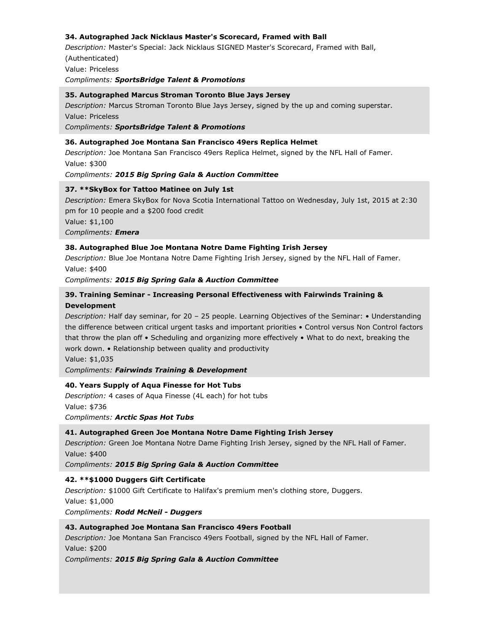# **34. Autographed Jack Nicklaus Master's Scorecard, Framed with Ball**

*Description:* Master's Special: Jack Nicklaus SIGNED Master's Scorecard, Framed with Ball, (Authenticated) Value: Priceless

*Compliments: SportsBridge Talent & Promotions*

#### **35. Autographed Marcus Stroman Toronto Blue Jays Jersey**

*Description:* Marcus Stroman Toronto Blue Jays Jersey, signed by the up and coming superstar. Value: Priceless

*Compliments: SportsBridge Talent & Promotions*

#### **36. Autographed Joe Montana San Francisco 49ers Replica Helmet**

*Description:* Joe Montana San Francisco 49ers Replica Helmet, signed by the NFL Hall of Famer. Value: \$300

*Compliments: 2015 Big Spring Gala & Auction Committee*

#### **37. \*\*SkyBox for Tattoo Matinee on July 1st**

*Description:* Emera SkyBox for Nova Scotia International Tattoo on Wednesday, July 1st, 2015 at 2:30 pm for 10 people and a \$200 food credit Value: \$1,100 *Compliments: Emera*

#### **38. Autographed Blue Joe Montana Notre Dame Fighting Irish Jersey**

*Description:* Blue Joe Montana Notre Dame Fighting Irish Jersey, signed by the NFL Hall of Famer. Value: \$400

*Compliments: 2015 Big Spring Gala & Auction Committee*

# **39. Training Seminar - Increasing Personal Effectiveness with Fairwinds Training & Development**

*Description:* Half day seminar, for 20 – 25 people. Learning Objectives of the Seminar: • Understanding the difference between critical urgent tasks and important priorities • Control versus Non Control factors that throw the plan off • Scheduling and organizing more effectively • What to do next, breaking the work down. • Relationship between quality and productivity

Value: \$1,035

*Compliments: Fairwinds Training & Development*

#### **40. Years Supply of Aqua Finesse for Hot Tubs**

*Description:* 4 cases of Aqua Finesse (4L each) for hot tubs Value: \$736 *Compliments: Arctic Spas Hot Tubs*

### **41. Autographed Green Joe Montana Notre Dame Fighting Irish Jersey**

*Description:* Green Joe Montana Notre Dame Fighting Irish Jersey, signed by the NFL Hall of Famer. Value: \$400

*Compliments: 2015 Big Spring Gala & Auction Committee*

#### **42. \*\*\$1000 Duggers Gift Certificate**

*Description:* \$1000 Gift Certificate to Halifax's premium men's clothing store, Duggers. Value: \$1,000 *Compliments: Rodd McNeil - Duggers*

#### **43. Autographed Joe Montana San Francisco 49ers Football**

*Description:* Joe Montana San Francisco 49ers Football, signed by the NFL Hall of Famer. Value: \$200

*Compliments: 2015 Big Spring Gala & Auction Committee*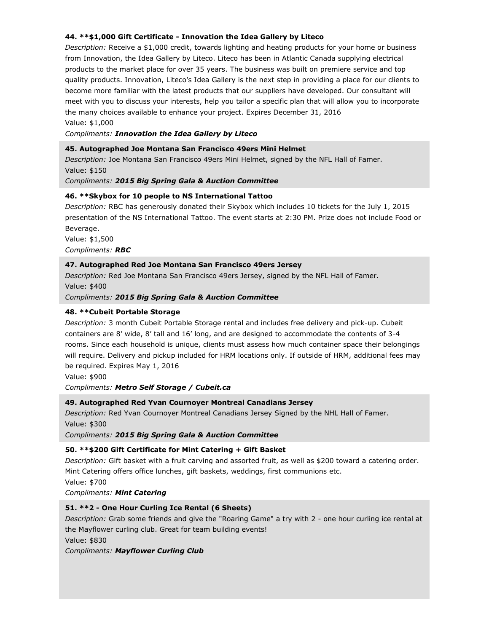# **44. \*\*\$1,000 Gift Certificate - Innovation the Idea Gallery by Liteco**

*Description:* Receive a \$1,000 credit, towards lighting and heating products for your home or business from Innovation, the Idea Gallery by Liteco. Liteco has been in Atlantic Canada supplying electrical products to the market place for over 35 years. The business was built on premiere service and top quality products. Innovation, Liteco's Idea Gallery is the next step in providing a place for our clients to become more familiar with the latest products that our suppliers have developed. Our consultant will meet with you to discuss your interests, help you tailor a specific plan that will allow you to incorporate the many choices available to enhance your project. Expires December 31, 2016

Value: \$1,000

*Compliments: Innovation the Idea Gallery by Liteco*

#### **45. Autographed Joe Montana San Francisco 49ers Mini Helmet**

*Description:* Joe Montana San Francisco 49ers Mini Helmet, signed by the NFL Hall of Famer. Value: \$150

#### *Compliments: 2015 Big Spring Gala & Auction Committee*

#### **46. \*\*Skybox for 10 people to NS International Tattoo**

*Description:* RBC has generously donated their Skybox which includes 10 tickets for the July 1, 2015 presentation of the NS International Tattoo. The event starts at 2:30 PM. Prize does not include Food or Beverage.

Value: \$1,500 *Compliments: RBC*

#### **47. Autographed Red Joe Montana San Francisco 49ers Jersey**

*Description:* Red Joe Montana San Francisco 49ers Jersey, signed by the NFL Hall of Famer. Value: \$400

*Compliments: 2015 Big Spring Gala & Auction Committee*

#### **48. \*\*Cubeit Portable Storage**

*Description:* 3 month Cubeit Portable Storage rental and includes free delivery and pick-up. Cubeit containers are 8' wide, 8' tall and 16' long, and are designed to accommodate the contents of 3-4 rooms. Since each household is unique, clients must assess how much container space their belongings will require. Delivery and pickup included for HRM locations only. If outside of HRM, additional fees may be required. Expires May 1, 2016

Value: \$900

#### *Compliments: Metro Self Storage / Cubeit.ca*

#### **49. Autographed Red Yvan Cournoyer Montreal Canadians Jersey**

*Description:* Red Yvan Cournoyer Montreal Canadians Jersey Signed by the NHL Hall of Famer. Value: \$300

*Compliments: 2015 Big Spring Gala & Auction Committee*

#### **50. \*\*\$200 Gift Certificate for Mint Catering + Gift Basket**

*Description:* Gift basket with a fruit carving and assorted fruit, as well as \$200 toward a catering order. Mint Catering offers office lunches, gift baskets, weddings, first communions etc.

Value: \$700

*Compliments: Mint Catering*

#### **51. \*\*2 - One Hour Curling Ice Rental (6 Sheets)**

*Description:* Grab some friends and give the "Roaring Game" a try with 2 - one hour curling ice rental at the Mayflower curling club. Great for team building events!

Value: \$830

*Compliments: Mayflower Curling Club*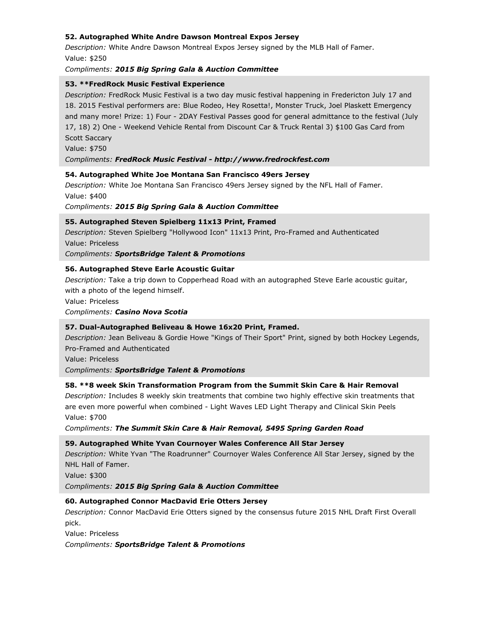# **52. Autographed White Andre Dawson Montreal Expos Jersey**

*Description:* White Andre Dawson Montreal Expos Jersey signed by the MLB Hall of Famer. Value: \$250

#### *Compliments: 2015 Big Spring Gala & Auction Committee*

### **53. \*\*FredRock Music Festival Experience**

*Description:* FredRock Music Festival is a two day music festival happening in Fredericton July 17 and 18. 2015 Festival performers are: Blue Rodeo, Hey Rosetta!, Monster Truck, Joel Plaskett Emergency and many more! Prize: 1) Four - 2DAY Festival Passes good for general admittance to the festival (July 17, 18) 2) One - Weekend Vehicle Rental from Discount Car & Truck Rental 3) \$100 Gas Card from Scott Saccary

Value: \$750

#### *Compliments: FredRock Music Festival - http://www.fredrockfest.com*

#### **54. Autographed White Joe Montana San Francisco 49ers Jersey**

*Description:* White Joe Montana San Francisco 49ers Jersey signed by the NFL Hall of Famer. Value: \$400

*Compliments: 2015 Big Spring Gala & Auction Committee*

#### **55. Autographed Steven Spielberg 11x13 Print, Framed**

*Description:* Steven Spielberg "Hollywood Icon" 11x13 Print, Pro-Framed and Authenticated Value: Priceless

*Compliments: SportsBridge Talent & Promotions*

#### **56. Autographed Steve Earle Acoustic Guitar**

*Description:* Take a trip down to Copperhead Road with an autographed Steve Earle acoustic guitar, with a photo of the legend himself.

Value: Priceless

*Compliments: Casino Nova Scotia*

#### **57. Dual-Autographed Beliveau & Howe 16x20 Print, Framed.**

*Description:* Jean Beliveau & Gordie Howe "Kings of Their Sport" Print, signed by both Hockey Legends, Pro-Framed and Authenticated

Value: Priceless

*Compliments: SportsBridge Talent & Promotions*

#### **58. \*\*8 week Skin Transformation Program from the Summit Skin Care & Hair Removal**

*Description:* Includes 8 weekly skin treatments that combine two highly effective skin treatments that are even more powerful when combined - Light Waves LED Light Therapy and Clinical Skin Peels Value: \$700

*Compliments: The Summit Skin Care & Hair Removal, 5495 Spring Garden Road*

#### **59. Autographed White Yvan Cournoyer Wales Conference All Star Jersey**

*Description:* White Yvan "The Roadrunner" Cournoyer Wales Conference All Star Jersey, signed by the NHL Hall of Famer.

Value: \$300

*Compliments: 2015 Big Spring Gala & Auction Committee*

#### **60. Autographed Connor MacDavid Erie Otters Jersey**

*Description:* Connor MacDavid Erie Otters signed by the consensus future 2015 NHL Draft First Overall pick.

Value: Priceless

*Compliments: SportsBridge Talent & Promotions*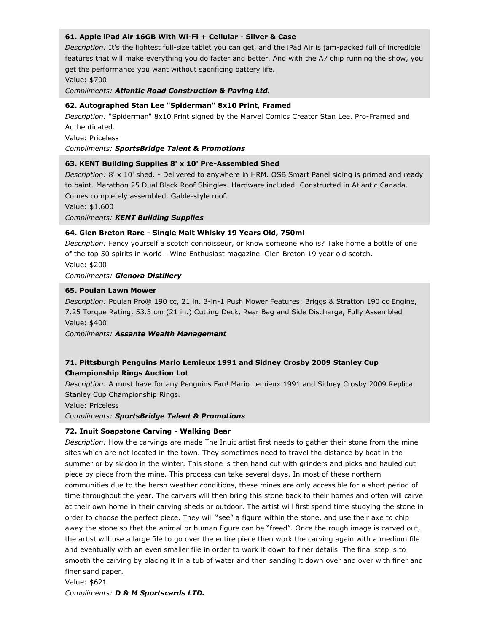#### **61. Apple iPad Air 16GB With Wi-Fi + Cellular - Silver & Case**

*Description:* It's the lightest full-size tablet you can get, and the iPad Air is jam-packed full of incredible features that will make everything you do faster and better. And with the A7 chip running the show, you get the performance you want without sacrificing battery life.

Value: \$700

*Compliments: Atlantic Road Construction & Paving Ltd.*

### **62. Autographed Stan Lee "Spiderman" 8x10 Print, Framed**

*Description:* "Spiderman" 8x10 Print signed by the Marvel Comics Creator Stan Lee. Pro-Framed and Authenticated.

Value: Priceless

*Compliments: SportsBridge Talent & Promotions*

### **63. KENT Building Supplies 8' x 10' Pre-Assembled Shed**

*Description:* 8' x 10' shed. - Delivered to anywhere in HRM. OSB Smart Panel siding is primed and ready to paint. Marathon 25 Dual Black Roof Shingles. Hardware included. Constructed in Atlantic Canada. Comes completely assembled. Gable-style roof.

Value: \$1,600

*Compliments: KENT Building Supplies*

### **64. Glen Breton Rare - Single Malt Whisky 19 Years Old, 750ml**

*Description:* Fancy yourself a scotch connoisseur, or know someone who is? Take home a bottle of one of the top 50 spirits in world - Wine Enthusiast magazine. Glen Breton 19 year old scotch.

Value: \$200

*Compliments: Glenora Distillery*

### **65. Poulan Lawn Mower**

*Description:* Poulan Pro® 190 cc, 21 in. 3-in-1 Push Mower Features: Briggs & Stratton 190 cc Engine, 7.25 Torque Rating, 53.3 cm (21 in.) Cutting Deck, Rear Bag and Side Discharge, Fully Assembled Value: \$400

*Compliments: Assante Wealth Management*

# **71. Pittsburgh Penguins Mario Lemieux 1991 and Sidney Crosby 2009 Stanley Cup Championship Rings Auction Lot**

*Description:* A must have for any Penguins Fan! Mario Lemieux 1991 and Sidney Crosby 2009 Replica Stanley Cup Championship Rings.

Value: Priceless

*Compliments: SportsBridge Talent & Promotions*

#### **72. Inuit Soapstone Carving - Walking Bear**

*Description:* How the carvings are made The Inuit artist first needs to gather their stone from the mine sites which are not located in the town. They sometimes need to travel the distance by boat in the summer or by skidoo in the winter. This stone is then hand cut with grinders and picks and hauled out piece by piece from the mine. This process can take several days. In most of these northern communities due to the harsh weather conditions, these mines are only accessible for a short period of time throughout the year. The carvers will then bring this stone back to their homes and often will carve at their own home in their carving sheds or outdoor. The artist will first spend time studying the stone in order to choose the perfect piece. They will "see" a figure within the stone, and use their axe to chip away the stone so that the animal or human figure can be "freed". Once the rough image is carved out, the artist will use a large file to go over the entire piece then work the carving again with a medium file and eventually with an even smaller file in order to work it down to finer details. The final step is to smooth the carving by placing it in a tub of water and then sanding it down over and over with finer and finer sand paper.

Value: \$621 *Compliments: D & M Sportscards LTD.*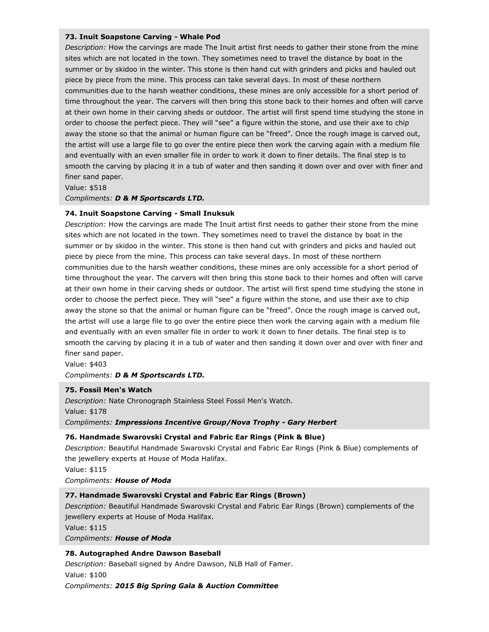#### **73. Inuit Soapstone Carving - Whale Pod**

*Description:* How the carvings are made The Inuit artist first needs to gather their stone from the mine sites which are not located in the town. They sometimes need to travel the distance by boat in the summer or by skidoo in the winter. This stone is then hand cut with grinders and picks and hauled out piece by piece from the mine. This process can take several days. In most of these northern communities due to the harsh weather conditions, these mines are only accessible for a short period of time throughout the year. The carvers will then bring this stone back to their homes and often will carve at their own home in their carving sheds or outdoor. The artist will first spend time studying the stone in order to choose the perfect piece. They will "see" a figure within the stone, and use their axe to chip away the stone so that the animal or human figure can be "freed". Once the rough image is carved out, the artist will use a large file to go over the entire piece then work the carving again with a medium file and eventually with an even smaller file in order to work it down to finer details. The final step is to smooth the carving by placing it in a tub of water and then sanding it down over and over with finer and finer sand paper.

Value: \$518

# *Compliments: D & M Sportscards LTD.*

# **74. Inuit Soapstone Carving - Small Inuksuk**

*Description:* How the carvings are made The Inuit artist first needs to gather their stone from the mine sites which are not located in the town. They sometimes need to travel the distance by boat in the summer or by skidoo in the winter. This stone is then hand cut with grinders and picks and hauled out piece by piece from the mine. This process can take several days. In most of these northern communities due to the harsh weather conditions, these mines are only accessible for a short period of time throughout the year. The carvers will then bring this stone back to their homes and often will carve at their own home in their carving sheds or outdoor. The artist will first spend time studying the stone in order to choose the perfect piece. They will "see" a figure within the stone, and use their axe to chip away the stone so that the animal or human figure can be "freed". Once the rough image is carved out, the artist will use a large file to go over the entire piece then work the carving again with a medium file and eventually with an even smaller file in order to work it down to finer details. The final step is to smooth the carving by placing it in a tub of water and then sanding it down over and over with finer and finer sand paper.

Value: \$403

*Compliments: D & M Sportscards LTD.*

#### **75. Fossil Men's Watch**

*Description:* Nate Chronograph Stainless Steel Fossil Men's Watch. Value: \$178 *Compliments: Impressions Incentive Group/Nova Trophy - Gary Herbert*

# **76. Handmade Swarovski Crystal and Fabric Ear Rings (Pink & Blue)**

*Description:* Beautiful Handmade Swarovski Crystal and Fabric Ear Rings (Pink & Blue) complements of the jewellery experts at House of Moda Halifax. Value: \$115

*Compliments: House of Moda*

# **77. Handmade Swarovski Crystal and Fabric Ear Rings (Brown)**

*Description:* Beautiful Handmade Swarovski Crystal and Fabric Ear Rings (Brown) complements of the jewellery experts at House of Moda Halifax.

Value: \$115

*Compliments: House of Moda*

# **78. Autographed Andre Dawson Baseball**

*Description:* Baseball signed by Andre Dawson, NLB Hall of Famer. Value: \$100 *Compliments: 2015 Big Spring Gala & Auction Committee*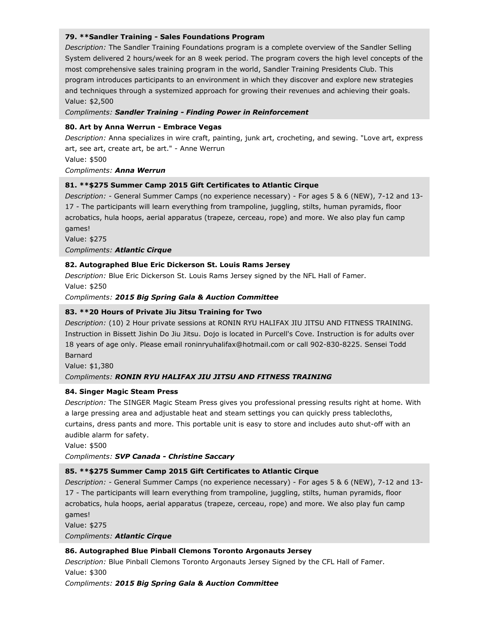### **79. \*\*Sandler Training - Sales Foundations Program**

*Description:* The Sandler Training Foundations program is a complete overview of the Sandler Selling System delivered 2 hours/week for an 8 week period. The program covers the high level concepts of the most comprehensive sales training program in the world, Sandler Training Presidents Club. This program introduces participants to an environment in which they discover and explore new strategies and techniques through a systemized approach for growing their revenues and achieving their goals. Value: \$2,500

#### *Compliments: Sandler Training - Finding Power in Reinforcement*

### **80. Art by Anna Werrun - Embrace Vegas**

*Description:* Anna specializes in wire craft, painting, junk art, crocheting, and sewing. "Love art, express art, see art, create art, be art." - Anne Werrun

Value: \$500

### *Compliments: Anna Werrun*

# **81. \*\*\$275 Summer Camp 2015 Gift Certificates to Atlantic Cirque**

*Description:* - General Summer Camps (no experience necessary) - For ages 5 & 6 (NEW), 7-12 and 13- 17 - The participants will learn everything from trampoline, juggling, stilts, human pyramids, floor acrobatics, hula hoops, aerial apparatus (trapeze, cerceau, rope) and more. We also play fun camp games!

Value: \$275

*Compliments: Atlantic Cirque*

### **82. Autographed Blue Eric Dickerson St. Louis Rams Jersey**

*Description:* Blue Eric Dickerson St. Louis Rams Jersey signed by the NFL Hall of Famer. Value: \$250

*Compliments: 2015 Big Spring Gala & Auction Committee*

# **83. \*\*20 Hours of Private Jiu Jitsu Training for Two**

*Description:* (10) 2 Hour private sessions at RONIN RYU HALIFAX JIU JITSU AND FITNESS TRAINING. Instruction in Bissett Jishin Do Jiu Jitsu. Dojo is located in Purcell's Cove. Instruction is for adults over 18 years of age only. Please email roninryuhalifax@hotmail.com or call 902-830-8225. Sensei Todd Barnard

Value: \$1,380

# *Compliments: RONIN RYU HALIFAX JIU JITSU AND FITNESS TRAINING*

# **84. Singer Magic Steam Press**

*Description:* The SINGER Magic Steam Press gives you professional pressing results right at home. With a large pressing area and adjustable heat and steam settings you can quickly press tablecloths, curtains, dress pants and more. This portable unit is easy to store and includes auto shut-off with an audible alarm for safety.

Value: \$500

#### *Compliments: SVP Canada - Christine Saccary*

# **85. \*\*\$275 Summer Camp 2015 Gift Certificates to Atlantic Cirque**

*Description:* - General Summer Camps (no experience necessary) - For ages 5 & 6 (NEW), 7-12 and 13- 17 - The participants will learn everything from trampoline, juggling, stilts, human pyramids, floor acrobatics, hula hoops, aerial apparatus (trapeze, cerceau, rope) and more. We also play fun camp games!

Value: \$275

*Compliments: Atlantic Cirque*

#### **86. Autographed Blue Pinball Clemons Toronto Argonauts Jersey**

*Description:* Blue Pinball Clemons Toronto Argonauts Jersey Signed by the CFL Hall of Famer. Value: \$300

*Compliments: 2015 Big Spring Gala & Auction Committee*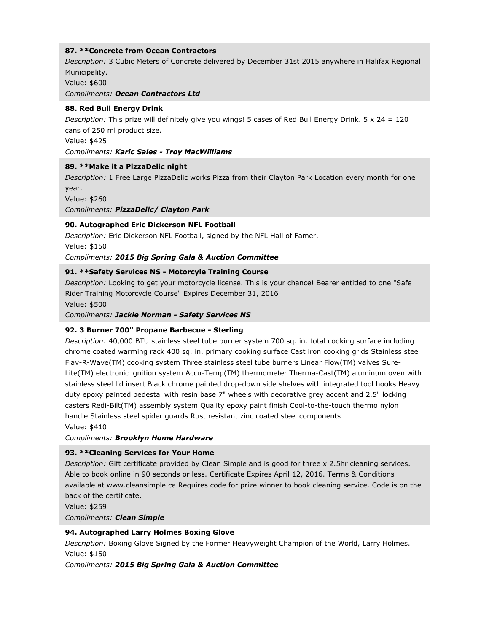# **87. \*\*Concrete from Ocean Contractors**

*Description:* 3 Cubic Meters of Concrete delivered by December 31st 2015 anywhere in Halifax Regional Municipality.

Value: \$600

*Compliments: Ocean Contractors Ltd*

# **88. Red Bull Energy Drink**

*Description:* This prize will definitely give you wings! 5 cases of Red Bull Energy Drink. 5 x 24 = 120 cans of 250 ml product size.

Value: \$425

*Compliments: Karic Sales - Troy MacWilliams*

# **89. \*\*Make it a PizzaDelic night**

*Description:* 1 Free Large PizzaDelic works Pizza from their Clayton Park Location every month for one year.

Value: \$260

*Compliments: PizzaDelic/ Clayton Park*

# **90. Autographed Eric Dickerson NFL Football**

*Description:* Eric Dickerson NFL Football, signed by the NFL Hall of Famer. Value: \$150

*Compliments: 2015 Big Spring Gala & Auction Committee*

# **91. \*\*Safety Services NS - Motorcyle Training Course**

*Description:* Looking to get your motorcycle license. This is your chance! Bearer entitled to one "Safe Rider Training Motorcycle Course" Expires December 31, 2016

Value: \$500

*Compliments: Jackie Norman - Safety Services NS*

# **92. 3 Burner 700" Propane Barbecue - Sterling**

*Description:* 40,000 BTU stainless steel tube burner system 700 sq. in. total cooking surface including chrome coated warming rack 400 sq. in. primary cooking surface Cast iron cooking grids Stainless steel Flav-R-Wave(TM) cooking system Three stainless steel tube burners Linear Flow(TM) valves Sure-Lite(TM) electronic ignition system Accu-Temp(TM) thermometer Therma-Cast(TM) aluminum oven with stainless steel lid insert Black chrome painted drop-down side shelves with integrated tool hooks Heavy duty epoxy painted pedestal with resin base 7" wheels with decorative grey accent and 2.5" locking casters Redi-Bilt(TM) assembly system Quality epoxy paint finish Cool-to-the-touch thermo nylon handle Stainless steel spider guards Rust resistant zinc coated steel components

Value: \$410

*Compliments: Brooklyn Home Hardware*

# **93. \*\*Cleaning Services for Your Home**

*Description:* Gift certificate provided by Clean Simple and is good for three x 2.5hr cleaning services. Able to book online in 90 seconds or less. Certificate Expires April 12, 2016. Terms & Conditions available at www.cleansimple.ca Requires code for prize winner to book cleaning service. Code is on the back of the certificate.

Value: \$259

*Compliments: Clean Simple*

# **94. Autographed Larry Holmes Boxing Glove**

*Description:* Boxing Glove Signed by the Former Heavyweight Champion of the World, Larry Holmes. Value: \$150

*Compliments: 2015 Big Spring Gala & Auction Committee*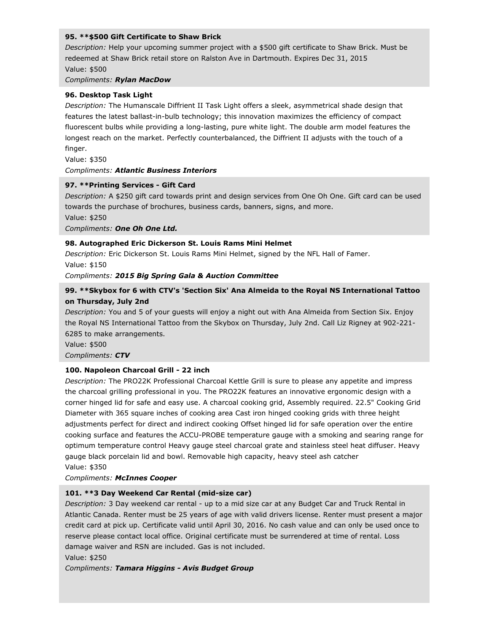### **95. \*\*\$500 Gift Certificate to Shaw Brick**

*Description:* Help your upcoming summer project with a \$500 gift certificate to Shaw Brick. Must be redeemed at Shaw Brick retail store on Ralston Ave in Dartmouth. Expires Dec 31, 2015 Value: \$500

#### *Compliments: Rylan MacDow*

#### **96. Desktop Task Light**

*Description:* The Humanscale Diffrient II Task Light offers a sleek, asymmetrical shade design that features the latest ballast-in-bulb technology; this innovation maximizes the efficiency of compact fluorescent bulbs while providing a long-lasting, pure white light. The double arm model features the longest reach on the market. Perfectly counterbalanced, the Diffrient II adjusts with the touch of a finger.

Value: \$350

#### *Compliments: Atlantic Business Interiors*

#### **97. \*\*Printing Services - Gift Card**

*Description:* A \$250 gift card towards print and design services from One Oh One. Gift card can be used towards the purchase of brochures, business cards, banners, signs, and more. Value: \$250

*Compliments: One Oh One Ltd.*

### **98. Autographed Eric Dickerson St. Louis Rams Mini Helmet**

*Description:* Eric Dickerson St. Louis Rams Mini Helmet, signed by the NFL Hall of Famer. Value: \$150

*Compliments: 2015 Big Spring Gala & Auction Committee*

# **99. \*\*Skybox for 6 with CTV's 'Section Six' Ana Almeida to the Royal NS International Tattoo on Thursday, July 2nd**

*Description:* You and 5 of your guests will enjoy a night out with Ana Almeida from Section Six. Enjoy the Royal NS International Tattoo from the Skybox on Thursday, July 2nd. Call Liz Rigney at 902-221- 6285 to make arrangements.

Value: \$500 *Compliments: CTV*

#### **100. Napoleon Charcoal Grill - 22 inch**

*Description:* The PRO22K Professional Charcoal Kettle Grill is sure to please any appetite and impress the charcoal grilling professional in you. The PRO22K features an innovative ergonomic design with a corner hinged lid for safe and easy use. A charcoal cooking grid, Assembly required. 22.5" Cooking Grid Diameter with 365 square inches of cooking area Cast iron hinged cooking grids with three height adjustments perfect for direct and indirect cooking Offset hinged lid for safe operation over the entire cooking surface and features the ACCU-PROBE temperature gauge with a smoking and searing range for optimum temperature control Heavy gauge steel charcoal grate and stainless steel heat diffuser. Heavy gauge black porcelain lid and bowl. Removable high capacity, heavy steel ash catcher Value: \$350

*Compliments: McInnes Cooper*

#### **101. \*\*3 Day Weekend Car Rental (mid-size car)**

*Description:* 3 Day weekend car rental - up to a mid size car at any Budget Car and Truck Rental in Atlantic Canada. Renter must be 25 years of age with valid drivers license. Renter must present a major credit card at pick up. Certificate valid until April 30, 2016. No cash value and can only be used once to reserve please contact local office. Original certificate must be surrendered at time of rental. Loss damage waiver and RSN are included. Gas is not included.

Value: \$250

*Compliments: Tamara Higgins - Avis Budget Group*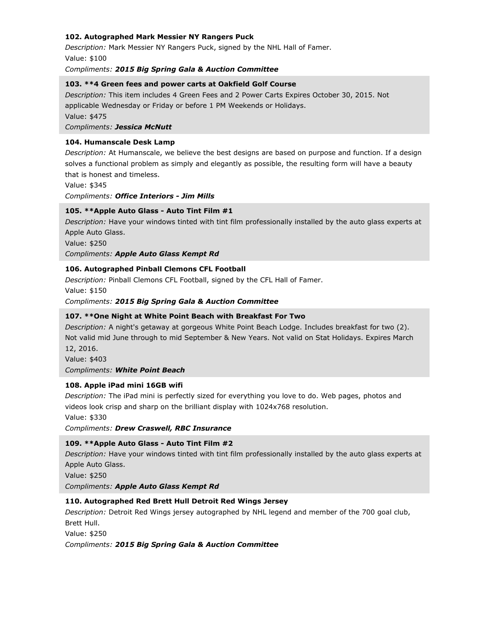### **102. Autographed Mark Messier NY Rangers Puck**

*Description:* Mark Messier NY Rangers Puck, signed by the NHL Hall of Famer. Value: \$100

*Compliments: 2015 Big Spring Gala & Auction Committee*

#### **103. \*\*4 Green fees and power carts at Oakfield Golf Course**

*Description:* This item includes 4 Green Fees and 2 Power Carts Expires October 30, 2015. Not applicable Wednesday or Friday or before 1 PM Weekends or Holidays. Value: \$475

*Compliments: Jessica McNutt*

#### **104. Humanscale Desk Lamp**

*Description:* At Humanscale, we believe the best designs are based on purpose and function. If a design solves a functional problem as simply and elegantly as possible, the resulting form will have a beauty that is honest and timeless.

Value: \$345

*Compliments: Office Interiors - Jim Mills*

#### **105. \*\*Apple Auto Glass - Auto Tint Film #1**

*Description:* Have your windows tinted with tint film professionally installed by the auto glass experts at Apple Auto Glass.

Value: \$250

*Compliments: Apple Auto Glass Kempt Rd*

#### **106. Autographed Pinball Clemons CFL Football**

*Description:* Pinball Clemons CFL Football, signed by the CFL Hall of Famer.

Value: \$150

*Compliments: 2015 Big Spring Gala & Auction Committee*

#### **107. \*\*One Night at White Point Beach with Breakfast For Two**

*Description:* A night's getaway at gorgeous White Point Beach Lodge. Includes breakfast for two (2). Not valid mid June through to mid September & New Years. Not valid on Stat Holidays. Expires March 12, 2016.

Value: \$403

#### *Compliments: White Point Beach*

#### **108. Apple iPad mini 16GB wifi**

*Description:* The iPad mini is perfectly sized for everything you love to do. Web pages, photos and videos look crisp and sharp on the brilliant display with 1024x768 resolution.

Value: \$330

*Compliments: Drew Craswell, RBC Insurance*

#### **109. \*\*Apple Auto Glass - Auto Tint Film #2**

*Description:* Have your windows tinted with tint film professionally installed by the auto glass experts at Apple Auto Glass.

Value: \$250

*Compliments: Apple Auto Glass Kempt Rd*

#### **110. Autographed Red Brett Hull Detroit Red Wings Jersey**

*Description:* Detroit Red Wings jersey autographed by NHL legend and member of the 700 goal club, Brett Hull.

Value: \$250

*Compliments: 2015 Big Spring Gala & Auction Committee*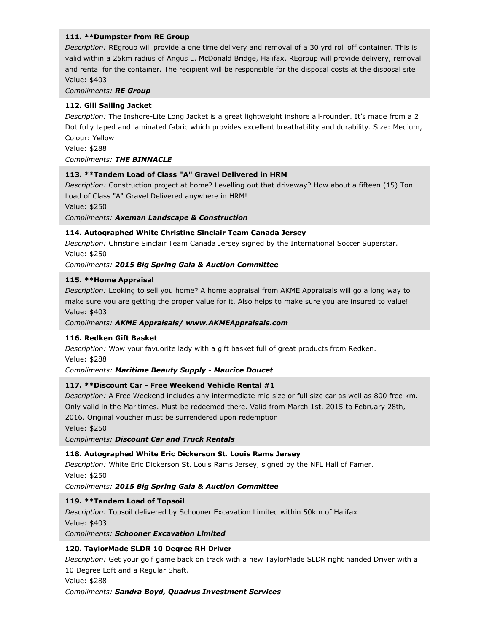### **111. \*\*Dumpster from RE Group**

*Description:* REgroup will provide a one time delivery and removal of a 30 yrd roll off container. This is valid within a 25km radius of Angus L. McDonald Bridge, Halifax. REgroup will provide delivery, removal and rental for the container. The recipient will be responsible for the disposal costs at the disposal site Value: \$403

*Compliments: RE Group*

# **112. Gill Sailing Jacket**

*Description:* The Inshore-Lite Long Jacket is a great lightweight inshore all-rounder. It's made from a 2 Dot fully taped and laminated fabric which provides excellent breathability and durability. Size: Medium, Colour: Yellow

Value: \$288

*Compliments: THE BINNACLE*

#### **113. \*\*Tandem Load of Class "A" Gravel Delivered in HRM**

*Description:* Construction project at home? Levelling out that driveway? How about a fifteen (15) Ton Load of Class "A" Gravel Delivered anywhere in HRM!

Value: \$250

*Compliments: Axeman Landscape & Construction*

### **114. Autographed White Christine Sinclair Team Canada Jersey**

*Description:* Christine Sinclair Team Canada Jersey signed by the International Soccer Superstar. Value: \$250

### *Compliments: 2015 Big Spring Gala & Auction Committee*

#### **115. \*\*Home Appraisal**

*Description:* Looking to sell you home? A home appraisal from AKME Appraisals will go a long way to make sure you are getting the proper value for it. Also helps to make sure you are insured to value! Value: \$403

#### *Compliments: AKME Appraisals/ www.AKMEAppraisals.com*

# **116. Redken Gift Basket**

*Description:* Wow your favuorite lady with a gift basket full of great products from Redken. Value: \$288

*Compliments: Maritime Beauty Supply - Maurice Doucet*

#### **117. \*\*Discount Car - Free Weekend Vehicle Rental #1**

*Description:* A Free Weekend includes any intermediate mid size or full size car as well as 800 free km. Only valid in the Maritimes. Must be redeemed there. Valid from March 1st, 2015 to February 28th, 2016. Original voucher must be surrendered upon redemption.

Value: \$250

*Compliments: Discount Car and Truck Rentals*

# **118. Autographed White Eric Dickerson St. Louis Rams Jersey**

*Description:* White Eric Dickerson St. Louis Rams Jersey, signed by the NFL Hall of Famer. Value: \$250

*Compliments: 2015 Big Spring Gala & Auction Committee*

# **119. \*\*Tandem Load of Topsoil**

*Description:* Topsoil delivered by Schooner Excavation Limited within 50km of Halifax Value: \$403 *Compliments: Schooner Excavation Limited*

# **120. TaylorMade SLDR 10 Degree RH Driver**

*Description:* Get your golf game back on track with a new TaylorMade SLDR right handed Driver with a 10 Degree Loft and a Regular Shaft.

Value: \$288

*Compliments: Sandra Boyd, Quadrus Investment Services*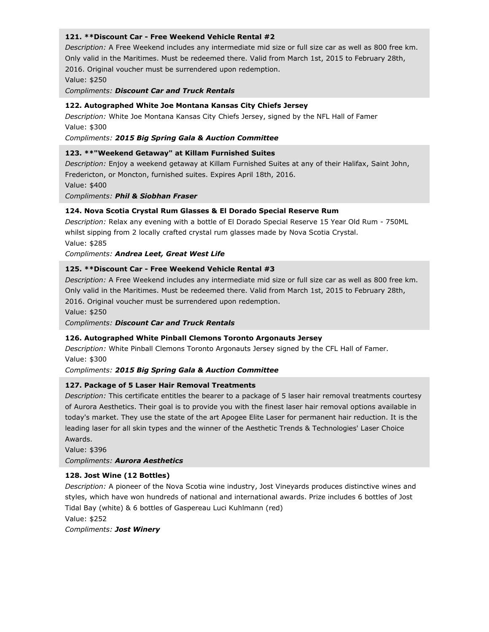### **121. \*\*Discount Car - Free Weekend Vehicle Rental #2**

*Description:* A Free Weekend includes any intermediate mid size or full size car as well as 800 free km. Only valid in the Maritimes. Must be redeemed there. Valid from March 1st, 2015 to February 28th, 2016. Original voucher must be surrendered upon redemption. Value: \$250

*Compliments: Discount Car and Truck Rentals*

# **122. Autographed White Joe Montana Kansas City Chiefs Jersey**

*Description:* White Joe Montana Kansas City Chiefs Jersey, signed by the NFL Hall of Famer Value: \$300

*Compliments: 2015 Big Spring Gala & Auction Committee*

#### **123. \*\*"Weekend Getaway" at Killam Furnished Suites**

*Description:* Enjoy a weekend getaway at Killam Furnished Suites at any of their Halifax, Saint John, Fredericton, or Moncton, furnished suites. Expires April 18th, 2016. Value: \$400

*Compliments: Phil & Siobhan Fraser*

### **124. Nova Scotia Crystal Rum Glasses & El Dorado Special Reserve Rum**

*Description:* Relax any evening with a bottle of El Dorado Special Reserve 15 Year Old Rum - 750ML whilst sipping from 2 locally crafted crystal rum glasses made by Nova Scotia Crystal.

Value: \$285

*Compliments: Andrea Leet, Great West Life*

### **125. \*\*Discount Car - Free Weekend Vehicle Rental #3**

*Description:* A Free Weekend includes any intermediate mid size or full size car as well as 800 free km. Only valid in the Maritimes. Must be redeemed there. Valid from March 1st, 2015 to February 28th, 2016. Original voucher must be surrendered upon redemption.

Value: \$250

#### *Compliments: Discount Car and Truck Rentals*

#### **126. Autographed White Pinball Clemons Toronto Argonauts Jersey**

*Description:* White Pinball Clemons Toronto Argonauts Jersey signed by the CFL Hall of Famer. Value: \$300

#### *Compliments: 2015 Big Spring Gala & Auction Committee*

#### **127. Package of 5 Laser Hair Removal Treatments**

*Description:* This certificate entitles the bearer to a package of 5 laser hair removal treatments courtesy of Aurora Aesthetics. Their goal is to provide you with the finest laser hair removal options available in today's market. They use the state of the art Apogee Elite Laser for permanent hair reduction. It is the leading laser for all skin types and the winner of the Aesthetic Trends & Technologies' Laser Choice Awards.

Value: \$396

*Compliments: Aurora Aesthetics*

# **128. Jost Wine (12 Bottles)**

*Description:* A pioneer of the Nova Scotia wine industry, Jost Vineyards produces distinctive wines and styles, which have won hundreds of national and international awards. Prize includes 6 bottles of Jost Tidal Bay (white) & 6 bottles of Gaspereau Luci Kuhlmann (red)

Value: \$252

*Compliments: Jost Winery*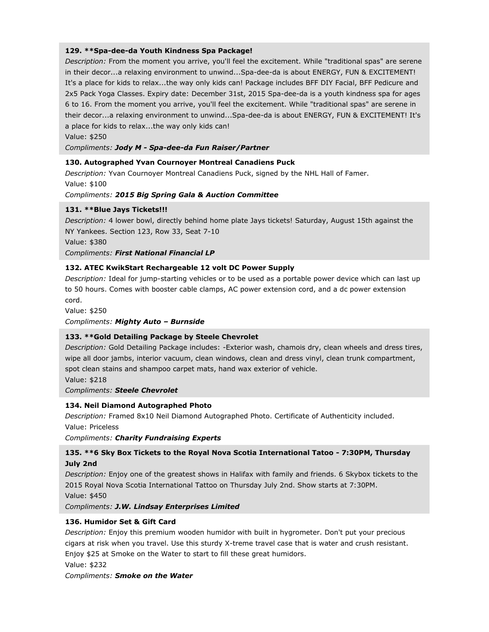# **129. \*\*Spa-dee-da Youth Kindness Spa Package!**

*Description:* From the moment you arrive, you'll feel the excitement. While "traditional spas" are serene in their decor...a relaxing environment to unwind...Spa-dee-da is about ENERGY, FUN & EXCITEMENT! It's a place for kids to relax...the way only kids can! Package includes BFF DIY Facial, BFF Pedicure and 2x5 Pack Yoga Classes. Expiry date: December 31st, 2015 Spa-dee-da is a youth kindness spa for ages 6 to 16. From the moment you arrive, you'll feel the excitement. While "traditional spas" are serene in their decor...a relaxing environment to unwind...Spa-dee-da is about ENERGY, FUN & EXCITEMENT! It's a place for kids to relax...the way only kids can!

Value: \$250

*Compliments: Jody M - Spa-dee-da Fun Raiser/Partner*

# **130. Autographed Yvan Cournoyer Montreal Canadiens Puck**

*Description:* Yvan Cournoyer Montreal Canadiens Puck, signed by the NHL Hall of Famer. Value: \$100

# *Compliments: 2015 Big Spring Gala & Auction Committee*

# **131. \*\*Blue Jays Tickets!!!**

*Description:* 4 lower bowl, directly behind home plate Jays tickets! Saturday, August 15th against the NY Yankees. Section 123, Row 33, Seat 7-10

Value: \$380

# *Compliments: First National Financial LP*

# **132. ATEC KwikStart Rechargeable 12 volt DC Power Supply**

*Description:* Ideal for jump-starting vehicles or to be used as a portable power device which can last up to 50 hours. Comes with booster cable clamps, AC power extension cord, and a dc power extension cord.

Value: \$250

# *Compliments: Mighty Auto – Burnside*

# **133. \*\*Gold Detailing Package by Steele Chevrolet**

*Description:* Gold Detailing Package includes: -Exterior wash, chamois dry, clean wheels and dress tires, wipe all door jambs, interior vacuum, clean windows, clean and dress vinyl, clean trunk compartment, spot clean stains and shampoo carpet mats, hand wax exterior of vehicle.

Value: \$218

# *Compliments: Steele Chevrolet*

# **134. Neil Diamond Autographed Photo**

*Description:* Framed 8x10 Neil Diamond Autographed Photo. Certificate of Authenticity included. Value: Priceless

*Compliments: Charity Fundraising Experts*

# **135. \*\*6 Sky Box Tickets to the Royal Nova Scotia International Tatoo - 7:30PM, Thursday July 2nd**

*Description:* Enjoy one of the greatest shows in Halifax with family and friends. 6 Skybox tickets to the 2015 Royal Nova Scotia International Tattoo on Thursday July 2nd. Show starts at 7:30PM. Value: \$450

*Compliments: J.W. Lindsay Enterprises Limited*

# **136. Humidor Set & Gift Card**

*Description:* Enjoy this premium wooden humidor with built in hygrometer. Don't put your precious cigars at risk when you travel. Use this sturdy X-treme travel case that is water and crush resistant. Enjoy \$25 at Smoke on the Water to start to fill these great humidors.

Value: \$232

# *Compliments: Smoke on the Water*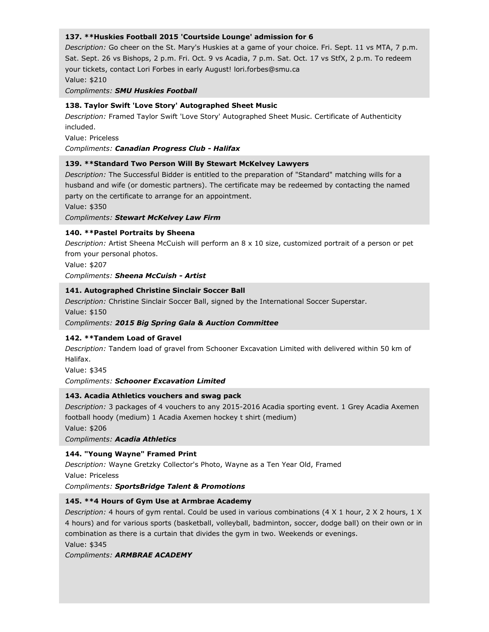### **137. \*\*Huskies Football 2015 'Courtside Lounge' admission for 6**

*Description:* Go cheer on the St. Mary's Huskies at a game of your choice. Fri. Sept. 11 vs MTA, 7 p.m. Sat. Sept. 26 vs Bishops, 2 p.m. Fri. Oct. 9 vs Acadia, 7 p.m. Sat. Oct. 17 vs StfX, 2 p.m. To redeem your tickets, contact Lori Forbes in early August! lori.forbes@smu.ca Value: \$210

*Compliments: SMU Huskies Football*

### **138. Taylor Swift 'Love Story' Autographed Sheet Music**

*Description:* Framed Taylor Swift 'Love Story' Autographed Sheet Music. Certificate of Authenticity included.

Value: Priceless

*Compliments: Canadian Progress Club - Halifax*

### **139. \*\*Standard Two Person Will By Stewart McKelvey Lawyers**

*Description:* The Successful Bidder is entitled to the preparation of "Standard" matching wills for a husband and wife (or domestic partners). The certificate may be redeemed by contacting the named party on the certificate to arrange for an appointment.

Value: \$350

#### *Compliments: Stewart McKelvey Law Firm*

### **140. \*\*Pastel Portraits by Sheena**

*Description:* Artist Sheena McCuish will perform an 8 x 10 size, customized portrait of a person or pet from your personal photos.

Value: \$207

*Compliments: Sheena McCuish - Artist*

### **141. Autographed Christine Sinclair Soccer Ball**

*Description:* Christine Sinclair Soccer Ball, signed by the International Soccer Superstar. Value: \$150

*Compliments: 2015 Big Spring Gala & Auction Committee*

# **142. \*\*Tandem Load of Gravel**

*Description:* Tandem load of gravel from Schooner Excavation Limited with delivered within 50 km of Halifax.

Value: \$345

*Compliments: Schooner Excavation Limited*

# **143. Acadia Athletics vouchers and swag pack**

*Description:* 3 packages of 4 vouchers to any 2015-2016 Acadia sporting event. 1 Grey Acadia Axemen football hoody (medium) 1 Acadia Axemen hockey t shirt (medium)

Value: \$206

*Compliments: Acadia Athletics*

# **144. "Young Wayne" Framed Print**

*Description:* Wayne Gretzky Collector's Photo, Wayne as a Ten Year Old, Framed Value: Priceless

*Compliments: SportsBridge Talent & Promotions*

# **145. \*\*4 Hours of Gym Use at Armbrae Academy**

*Description:* 4 hours of gym rental. Could be used in various combinations (4 X 1 hour, 2 X 2 hours, 1 X 4 hours) and for various sports (basketball, volleyball, badminton, soccer, dodge ball) on their own or in combination as there is a curtain that divides the gym in two. Weekends or evenings.

Value: \$345

*Compliments: ARMBRAE ACADEMY*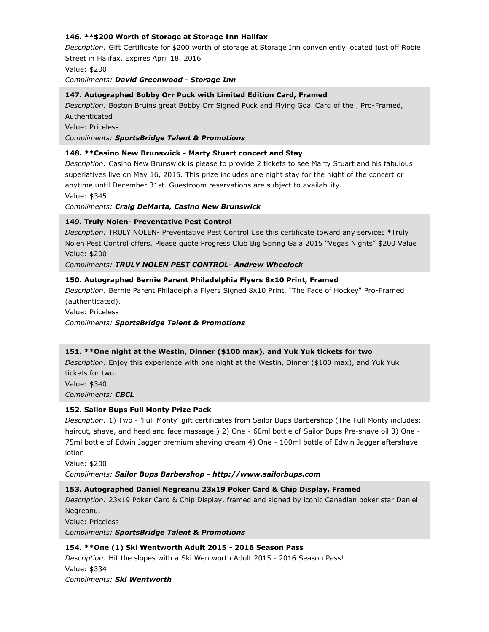# **146. \*\*\$200 Worth of Storage at Storage Inn Halifax**

*Description:* Gift Certificate for \$200 worth of storage at Storage Inn conveniently located just off Robie Street in Halifax. Expires April 18, 2016 Value: \$200

*Compliments: David Greenwood - Storage Inn*

### **147. Autographed Bobby Orr Puck with Limited Edition Card, Framed**

*Description:* Boston Bruins great Bobby Orr Signed Puck and Flying Goal Card of the , Pro-Framed, Authenticated

Value: Priceless

*Compliments: SportsBridge Talent & Promotions*

### **148. \*\*Casino New Brunswick - Marty Stuart concert and Stay**

*Description:* Casino New Brunswick is please to provide 2 tickets to see Marty Stuart and his fabulous superlatives live on May 16, 2015. This prize includes one night stay for the night of the concert or anytime until December 31st. Guestroom reservations are subject to availability. Value: \$345

*Compliments: Craig DeMarta, Casino New Brunswick*

### **149. Truly Nolen- Preventative Pest Control**

*Description:* TRULY NOLEN- Preventative Pest Control Use this certificate toward any services \*Truly Nolen Pest Control offers. Please quote Progress Club Big Spring Gala 2015 "Vegas Nights" \$200 Value Value: \$200

#### *Compliments: TRULY NOLEN PEST CONTROL- Andrew Wheelock*

### **150. Autographed Bernie Parent Philadelphia Flyers 8x10 Print, Framed**

*Description:* Bernie Parent Philadelphia Flyers Signed 8x10 Print, "The Face of Hockey" Pro-Framed (authenticated).

Value: Priceless

*Compliments: SportsBridge Talent & Promotions*

#### **151. \*\*One night at the Westin, Dinner (\$100 max), and Yuk Yuk tickets for two**

*Description:* Enjoy this experience with one night at the Westin, Dinner (\$100 max), and Yuk Yuk tickets for two. Value: \$340

*Compliments: CBCL*

# **152. Sailor Bups Full Monty Prize Pack**

*Description:* 1) Two - 'Full Monty' gift certificates from Sailor Bups Barbershop (The Full Monty includes: haircut, shave, and head and face massage.) 2) One - 60ml bottle of Sailor Bups Pre-shave oil 3) One - 75ml bottle of Edwin Jagger premium shaving cream 4) One - 100ml bottle of Edwin Jagger aftershave lotion

Value: \$200

*Compliments: Sailor Bups Barbershop - http://www.sailorbups.com*

# **153. Autographed Daniel Negreanu 23x19 Poker Card & Chip Display, Framed**

*Description:* 23x19 Poker Card & Chip Display, framed and signed by iconic Canadian poker star Daniel Negreanu.

Value: Priceless

*Compliments: SportsBridge Talent & Promotions*

# **154. \*\*One (1) Ski Wentworth Adult 2015 - 2016 Season Pass**

*Description:* Hit the slopes with a Ski Wentworth Adult 2015 - 2016 Season Pass! Value: \$334 *Compliments: Ski Wentworth*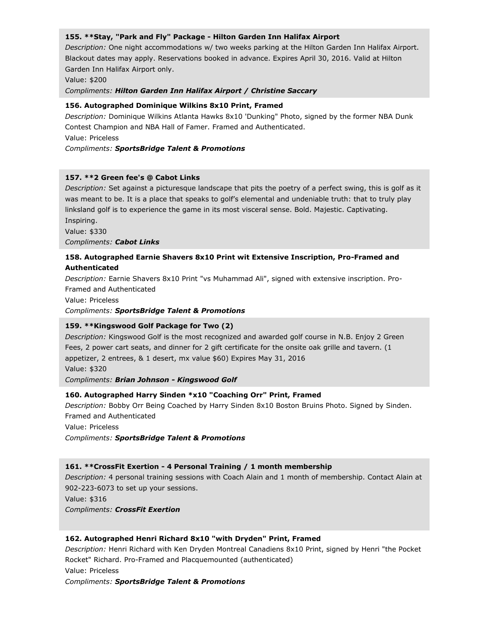### **155. \*\*Stay, "Park and Fly" Package - Hilton Garden Inn Halifax Airport**

*Description:* One night accommodations w/ two weeks parking at the Hilton Garden Inn Halifax Airport. Blackout dates may apply. Reservations booked in advance. Expires April 30, 2016. Valid at Hilton Garden Inn Halifax Airport only.

Value: \$200

*Compliments: Hilton Garden Inn Halifax Airport / Christine Saccary*

### **156. Autographed Dominique Wilkins 8x10 Print, Framed**

*Description:* Dominique Wilkins Atlanta Hawks 8x10 'Dunking" Photo, signed by the former NBA Dunk Contest Champion and NBA Hall of Famer. Framed and Authenticated.

Value: Priceless

### *Compliments: SportsBridge Talent & Promotions*

### **157. \*\*2 Green fee's @ Cabot Links**

*Description:* Set against a picturesque landscape that pits the poetry of a perfect swing, this is golf as it was meant to be. It is a place that speaks to golf's elemental and undeniable truth: that to truly play linksland golf is to experience the game in its most visceral sense. Bold. Majestic. Captivating. Inspiring.

Value: \$330

*Compliments: Cabot Links*

# **158. Autographed Earnie Shavers 8x10 Print wit Extensive Inscription, Pro-Framed and Authenticated**

*Description:* Earnie Shavers 8x10 Print "vs Muhammad Ali", signed with extensive inscription. Pro-Framed and Authenticated

Value: Priceless

*Compliments: SportsBridge Talent & Promotions*

# **159. \*\*Kingswood Golf Package for Two (2)**

*Description:* Kingswood Golf is the most recognized and awarded golf course in N.B. Enjoy 2 Green Fees, 2 power cart seats, and dinner for 2 gift certificate for the onsite oak grille and tavern. (1 appetizer, 2 entrees, & 1 desert, mx value \$60) Expires May 31, 2016 Value: \$320 *Compliments: Brian Johnson - Kingswood Golf*

# **160. Autographed Harry Sinden \*x10 "Coaching Orr" Print, Framed**

*Description:* Bobby Orr Being Coached by Harry Sinden 8x10 Boston Bruins Photo. Signed by Sinden. Framed and Authenticated

Value: Priceless

*Compliments: SportsBridge Talent & Promotions*

# **161. \*\*CrossFit Exertion - 4 Personal Training / 1 month membership**

*Description:* 4 personal training sessions with Coach Alain and 1 month of membership. Contact Alain at 902-223-6073 to set up your sessions.

Value: \$316

*Compliments: CrossFit Exertion*

# **162. Autographed Henri Richard 8x10 "with Dryden" Print, Framed**

*Description:* Henri Richard with Ken Dryden Montreal Canadiens 8x10 Print, signed by Henri "the Pocket Rocket" Richard. Pro-Framed and Placquemounted (authenticated) Value: Priceless *Compliments: SportsBridge Talent & Promotions*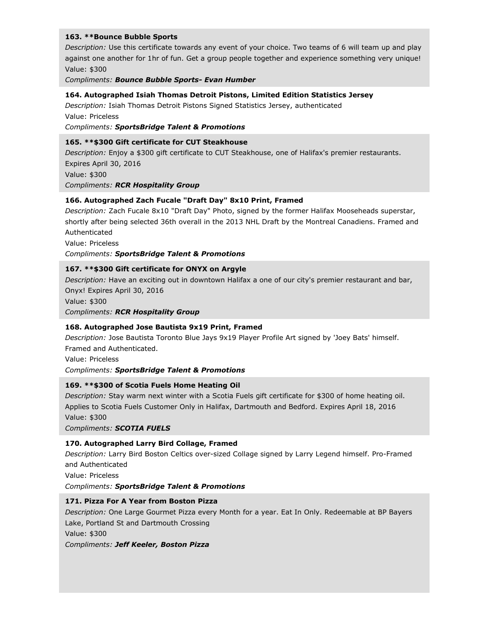### **163. \*\*Bounce Bubble Sports**

*Description:* Use this certificate towards any event of your choice. Two teams of 6 will team up and play against one another for 1hr of fun. Get a group people together and experience something very unique! Value: \$300

*Compliments: Bounce Bubble Sports- Evan Humber*

#### **164. Autographed Isiah Thomas Detroit Pistons, Limited Edition Statistics Jersey**

*Description:* Isiah Thomas Detroit Pistons Signed Statistics Jersey, authenticated Value: Priceless

*Compliments: SportsBridge Talent & Promotions*

### **165. \*\*\$300 Gift certificate for CUT Steakhouse**

*Description:* Enjoy a \$300 gift certificate to CUT Steakhouse, one of Halifax's premier restaurants. Expires April 30, 2016 Value: \$300 *Compliments: RCR Hospitality Group*

# **166. Autographed Zach Fucale "Draft Day" 8x10 Print, Framed**

*Description:* Zach Fucale 8x10 "Draft Day" Photo, signed by the former Halifax Mooseheads superstar, shortly after being selected 36th overall in the 2013 NHL Draft by the Montreal Canadiens. Framed and Authenticated

Value: Priceless

*Compliments: SportsBridge Talent & Promotions*

# **167. \*\*\$300 Gift certificate for ONYX on Argyle**

*Description:* Have an exciting out in downtown Halifax a one of our city's premier restaurant and bar, Onyx! Expires April 30, 2016

Value: \$300

*Compliments: RCR Hospitality Group*

# **168. Autographed Jose Bautista 9x19 Print, Framed**

*Description:* Jose Bautista Toronto Blue Jays 9x19 Player Profile Art signed by 'Joey Bats' himself. Framed and Authenticated.

Value: Priceless

*Compliments: SportsBridge Talent & Promotions*

# **169. \*\*\$300 of Scotia Fuels Home Heating Oil**

*Description:* Stay warm next winter with a Scotia Fuels gift certificate for \$300 of home heating oil. Applies to Scotia Fuels Customer Only in Halifax, Dartmouth and Bedford. Expires April 18, 2016 Value: \$300

*Compliments: SCOTIA FUELS*

# **170. Autographed Larry Bird Collage, Framed**

*Description:* Larry Bird Boston Celtics over-sized Collage signed by Larry Legend himself. Pro-Framed and Authenticated

Value: Priceless

*Compliments: SportsBridge Talent & Promotions*

# **171. Pizza For A Year from Boston Pizza**

*Description:* One Large Gourmet Pizza every Month for a year. Eat In Only. Redeemable at BP Bayers Lake, Portland St and Dartmouth Crossing

Value: \$300

*Compliments: Jeff Keeler, Boston Pizza*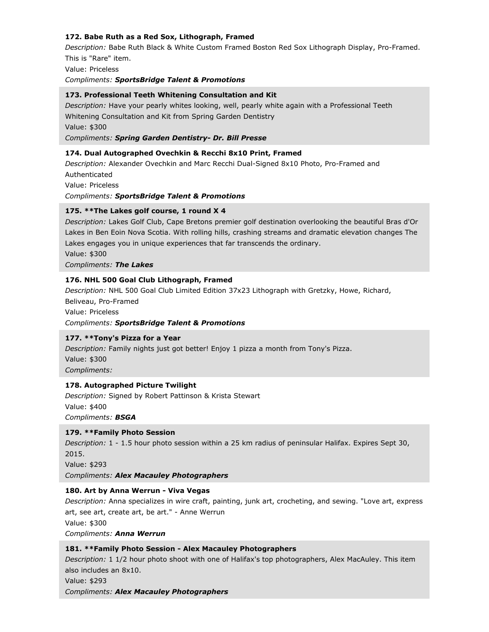# **172. Babe Ruth as a Red Sox, Lithograph, Framed**

*Description:* Babe Ruth Black & White Custom Framed Boston Red Sox Lithograph Display, Pro-Framed. This is "Rare" item.

Value: Priceless

*Compliments: SportsBridge Talent & Promotions*

### **173. Professional Teeth Whitening Consultation and Kit**

*Description:* Have your pearly whites looking, well, pearly white again with a Professional Teeth Whitening Consultation and Kit from Spring Garden Dentistry Value: \$300 *Compliments: Spring Garden Dentistry- Dr. Bill Presse*

### **174. Dual Autographed Ovechkin & Recchi 8x10 Print, Framed**

*Description:* Alexander Ovechkin and Marc Recchi Dual-Signed 8x10 Photo, Pro-Framed and Authenticated Value: Priceless *Compliments: SportsBridge Talent & Promotions*

### **175. \*\*The Lakes golf course, 1 round X 4**

*Description:* Lakes Golf Club, Cape Bretons premier golf destination overlooking the beautiful Bras d'Or Lakes in Ben Eoin Nova Scotia. With rolling hills, crashing streams and dramatic elevation changes The Lakes engages you in unique experiences that far transcends the ordinary.

Value: \$300

*Compliments: The Lakes*

### **176. NHL 500 Goal Club Lithograph, Framed**

*Description:* NHL 500 Goal Club Limited Edition 37x23 Lithograph with Gretzky, Howe, Richard,

Beliveau, Pro-Framed Value: Priceless

# *Compliments: SportsBridge Talent & Promotions*

# **177. \*\*Tony's Pizza for a Year**

*Description:* Family nights just got better! Enjoy 1 pizza a month from Tony's Pizza. Value: \$300

*Compliments:*

# **178. Autographed Picture Twilight**

*Description:* Signed by Robert Pattinson & Krista Stewart Value: \$400 *Compliments: BSGA*

#### **179. \*\*Family Photo Session**

*Description:* 1 - 1.5 hour photo session within a 25 km radius of peninsular Halifax. Expires Sept 30, 2015.

Value: \$293

*Compliments: Alex Macauley Photographers*

# **180. Art by Anna Werrun - Viva Vegas**

*Description:* Anna specializes in wire craft, painting, junk art, crocheting, and sewing. "Love art, express art, see art, create art, be art." - Anne Werrun

Value: \$300

*Compliments: Anna Werrun*

# **181. \*\*Family Photo Session - Alex Macauley Photographers**

*Description:* 1 1/2 hour photo shoot with one of Halifax's top photographers, Alex MacAuley. This item also includes an 8x10.

Value: \$293

*Compliments: Alex Macauley Photographers*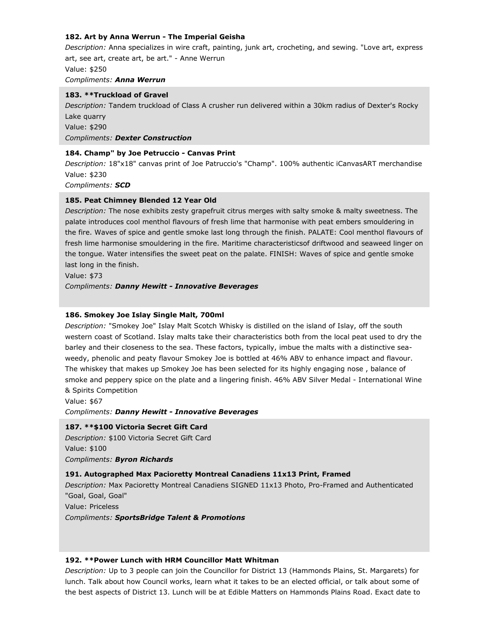### **182. Art by Anna Werrun - The Imperial Geisha**

*Description:* Anna specializes in wire craft, painting, junk art, crocheting, and sewing. "Love art, express art, see art, create art, be art." - Anne Werrun Value: \$250 *Compliments: Anna Werrun*

#### **183. \*\*Truckload of Gravel**

*Description:* Tandem truckload of Class A crusher run delivered within a 30km radius of Dexter's Rocky Lake quarry Value: \$290 *Compliments: Dexter Construction*

#### **184. Champ" by Joe Petruccio - Canvas Print**

*Description:* 18"x18" canvas print of Joe Patruccio's "Champ". 100% authentic iCanvasART merchandise Value: \$230

*Compliments: SCD*

#### **185. Peat Chimney Blended 12 Year Old**

*Description:* The nose exhibits zesty grapefruit citrus merges with salty smoke & malty sweetness. The palate introduces cool menthol flavours of fresh lime that harmonise with peat embers smouldering in the fire. Waves of spice and gentle smoke last long through the finish. PALATE: Cool menthol flavours of fresh lime harmonise smouldering in the fire. Maritime characteristicsof driftwood and seaweed linger on the tongue. Water intensifies the sweet peat on the palate. FINISH: Waves of spice and gentle smoke last long in the finish.

Value: \$73

*Compliments: Danny Hewitt - Innovative Beverages*

#### **186. Smokey Joe Islay Single Malt, 700ml**

*Description:* "Smokey Joe" Islay Malt Scotch Whisky is distilled on the island of Islay, off the south western coast of Scotland. Islay malts take their characteristics both from the local peat used to dry the barley and their closeness to the sea. These factors, typically, imbue the malts with a distinctive seaweedy, phenolic and peaty flavour Smokey Joe is bottled at 46% ABV to enhance impact and flavour. The whiskey that makes up Smokey Joe has been selected for its highly engaging nose , balance of smoke and peppery spice on the plate and a lingering finish. 46% ABV Silver Medal - International Wine & Spirits Competition

Value: \$67

*Compliments: Danny Hewitt - Innovative Beverages*

#### **187. \*\*\$100 Victoria Secret Gift Card**

*Description:* \$100 Victoria Secret Gift Card Value: \$100 *Compliments: Byron Richards*

#### **191. Autographed Max Pacioretty Montreal Canadiens 11x13 Print, Framed**

*Description:* Max Pacioretty Montreal Canadiens SIGNED 11x13 Photo, Pro-Framed and Authenticated "Goal, Goal, Goal"

Value: Priceless

*Compliments: SportsBridge Talent & Promotions*

#### **192. \*\*Power Lunch with HRM Councillor Matt Whitman**

*Description:* Up to 3 people can join the Councillor for District 13 (Hammonds Plains, St. Margarets) for lunch. Talk about how Council works, learn what it takes to be an elected official, or talk about some of the best aspects of District 13. Lunch will be at Edible Matters on Hammonds Plains Road. Exact date to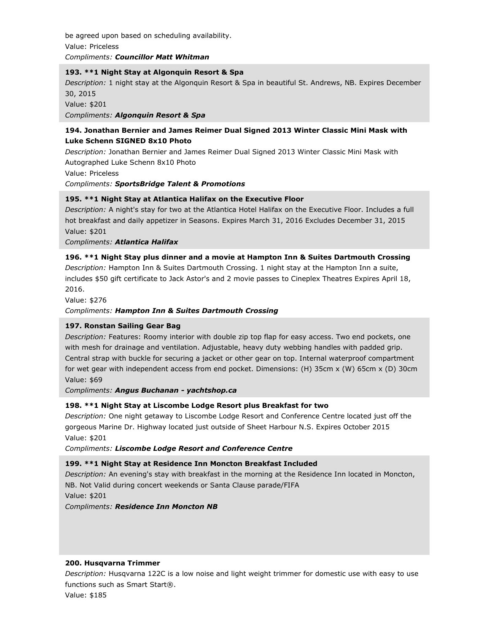be agreed upon based on scheduling availability. Value: Priceless *Compliments: Councillor Matt Whitman*

### **193. \*\*1 Night Stay at Algonquin Resort & Spa**

*Description:* 1 night stay at the Algonquin Resort & Spa in beautiful St. Andrews, NB. Expires December 30, 2015

Value: \$201

*Compliments: Algonquin Resort & Spa*

# **194. Jonathan Bernier and James Reimer Dual Signed 2013 Winter Classic Mini Mask with Luke Schenn SIGNED 8x10 Photo**

*Description:* Jonathan Bernier and James Reimer Dual Signed 2013 Winter Classic Mini Mask with Autographed Luke Schenn 8x10 Photo

Value: Priceless

*Compliments: SportsBridge Talent & Promotions*

# **195. \*\*1 Night Stay at Atlantica Halifax on the Executive Floor**

*Description:* A night's stay for two at the Atlantica Hotel Halifax on the Executive Floor. Includes a full hot breakfast and daily appetizer in Seasons. Expires March 31, 2016 Excludes December 31, 2015 Value: \$201

*Compliments: Atlantica Halifax*

# **196. \*\*1 Night Stay plus dinner and a movie at Hampton Inn & Suites Dartmouth Crossing**

*Description:* Hampton Inn & Suites Dartmouth Crossing. 1 night stay at the Hampton Inn a suite, includes \$50 gift certificate to Jack Astor's and 2 movie passes to Cineplex Theatres Expires April 18, 2016.

Value: \$276

*Compliments: Hampton Inn & Suites Dartmouth Crossing*

# **197. Ronstan Sailing Gear Bag**

*Description:* Features: Roomy interior with double zip top flap for easy access. Two end pockets, one with mesh for drainage and ventilation. Adjustable, heavy duty webbing handles with padded grip. Central strap with buckle for securing a jacket or other gear on top. Internal waterproof compartment for wet gear with independent access from end pocket. Dimensions: (H) 35cm x (W) 65cm x (D) 30cm Value: \$69

*Compliments: Angus Buchanan - yachtshop.ca*

# **198. \*\*1 Night Stay at Liscombe Lodge Resort plus Breakfast for two**

*Description:* One night getaway to Liscombe Lodge Resort and Conference Centre located just off the gorgeous Marine Dr. Highway located just outside of Sheet Harbour N.S. Expires October 2015 Value: \$201

*Compliments: Liscombe Lodge Resort and Conference Centre*

# **199. \*\*1 Night Stay at Residence Inn Moncton Breakfast Included**

*Description:* An evening's stay with breakfast in the morning at the Residence Inn located in Moncton, NB. Not Valid during concert weekends or Santa Clause parade/FIFA

Value: \$201

*Compliments: Residence Inn Moncton NB*

# **200. Husqvarna Trimmer**

*Description:* Husqvarna 122C is a low noise and light weight trimmer for domestic use with easy to use functions such as Smart Start®.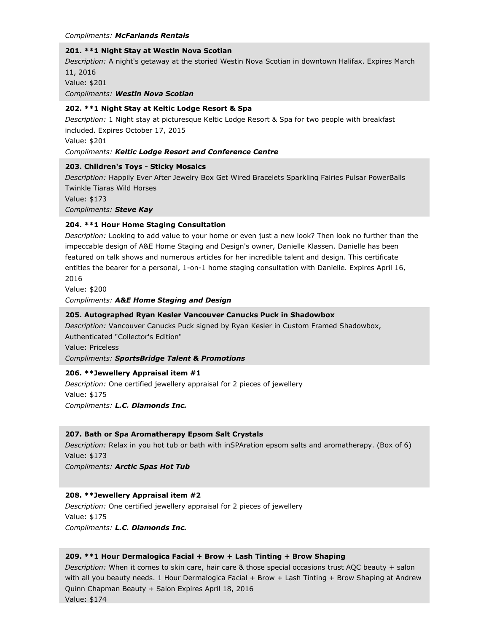#### *Compliments: McFarlands Rentals*

#### **201. \*\*1 Night Stay at Westin Nova Scotian**

*Description:* A night's getaway at the storied Westin Nova Scotian in downtown Halifax. Expires March 11, 2016

Value: \$201

*Compliments: Westin Nova Scotian*

### **202. \*\*1 Night Stay at Keltic Lodge Resort & Spa**

*Description:* 1 Night stay at picturesque Keltic Lodge Resort & Spa for two people with breakfast included. Expires October 17, 2015

Value: \$201

#### *Compliments: Keltic Lodge Resort and Conference Centre*

### **203. Children's Toys - Sticky Mosaics**

*Description:* Happily Ever After Jewelry Box Get Wired Bracelets Sparkling Fairies Pulsar PowerBalls Twinkle Tiaras Wild Horses

Value: \$173

*Compliments: Steve Kay*

### **204. \*\*1 Hour Home Staging Consultation**

*Description:* Looking to add value to your home or even just a new look? Then look no further than the impeccable design of A&E Home Staging and Design's owner, Danielle Klassen. Danielle has been featured on talk shows and numerous articles for her incredible talent and design. This certificate entitles the bearer for a personal, 1-on-1 home staging consultation with Danielle. Expires April 16, 2016

Value: \$200

*Compliments: A&E Home Staging and Design*

### **205. Autographed Ryan Kesler Vancouver Canucks Puck in Shadowbox**

*Description:* Vancouver Canucks Puck signed by Ryan Kesler in Custom Framed Shadowbox, Authenticated "Collector's Edition"

Value: Priceless

*Compliments: SportsBridge Talent & Promotions*

# **206. \*\*Jewellery Appraisal item #1**

*Description:* One certified jewellery appraisal for 2 pieces of jewellery Value: \$175 *Compliments: L.C. Diamonds Inc.*

# **207. Bath or Spa Aromatherapy Epsom Salt Crystals**

*Description:* Relax in you hot tub or bath with inSPAration epsom salts and aromatherapy. (Box of 6) Value: \$173

*Compliments: Arctic Spas Hot Tub*

# **208. \*\*Jewellery Appraisal item #2**

*Description:* One certified jewellery appraisal for 2 pieces of jewellery Value: \$175 *Compliments: L.C. Diamonds Inc.*

#### **209. \*\*1 Hour Dermalogica Facial + Brow + Lash Tinting + Brow Shaping**

*Description:* When it comes to skin care, hair care & those special occasions trust AQC beauty + salon with all you beauty needs. 1 Hour Dermalogica Facial + Brow + Lash Tinting + Brow Shaping at Andrew Quinn Chapman Beauty + Salon Expires April 18, 2016 Value: \$174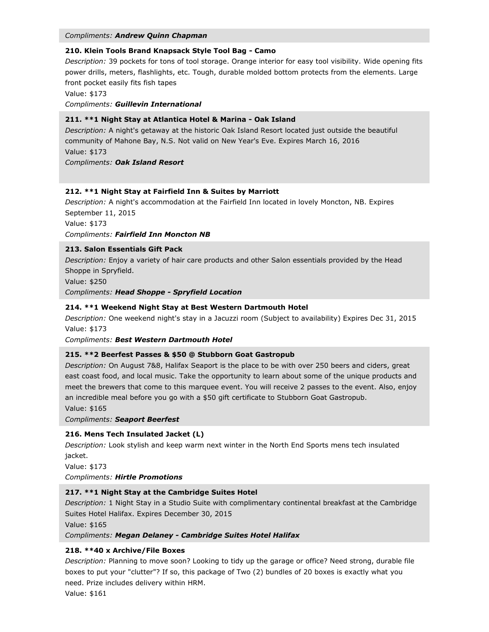#### *Compliments: Andrew Quinn Chapman*

### **210. Klein Tools Brand Knapsack Style Tool Bag - Camo**

*Description:* 39 pockets for tons of tool storage. Orange interior for easy tool visibility. Wide opening fits power drills, meters, flashlights, etc. Tough, durable molded bottom protects from the elements. Large front pocket easily fits fish tapes

Value: \$173

*Compliments: Guillevin International*

### **211. \*\*1 Night Stay at Atlantica Hotel & Marina - Oak Island**

*Description:* A night's getaway at the historic Oak Island Resort located just outside the beautiful community of Mahone Bay, N.S. Not valid on New Year's Eve. Expires March 16, 2016 Value: \$173 *Compliments: Oak Island Resort*

# **212. \*\*1 Night Stay at Fairfield Inn & Suites by Marriott**

*Description:* A night's accommodation at the Fairfield Inn located in lovely Moncton, NB. Expires September 11, 2015

Value: \$173

### *Compliments: Fairfield Inn Moncton NB*

### **213. Salon Essentials Gift Pack**

*Description:* Enjoy a variety of hair care products and other Salon essentials provided by the Head Shoppe in Spryfield.

Value: \$250

*Compliments: Head Shoppe - Spryfield Location*

### **214. \*\*1 Weekend Night Stay at Best Western Dartmouth Hotel**

*Description:* One weekend night's stay in a Jacuzzi room (Subject to availability) Expires Dec 31, 2015 Value: \$173

#### *Compliments: Best Western Dartmouth Hotel*

#### **215. \*\*2 Beerfest Passes & \$50 @ Stubborn Goat Gastropub**

*Description:* On August 7&8, Halifax Seaport is the place to be with over 250 beers and ciders, great east coast food, and local music. Take the opportunity to learn about some of the unique products and meet the brewers that come to this marquee event. You will receive 2 passes to the event. Also, enjoy an incredible meal before you go with a \$50 gift certificate to Stubborn Goat Gastropub.

Value: \$165

*Compliments: Seaport Beerfest*

### **216. Mens Tech Insulated Jacket (L)**

*Description:* Look stylish and keep warm next winter in the North End Sports mens tech insulated jacket.

Value: \$173

*Compliments: Hirtle Promotions*

#### **217. \*\*1 Night Stay at the Cambridge Suites Hotel**

*Description:* 1 Night Stay in a Studio Suite with complimentary continental breakfast at the Cambridge Suites Hotel Halifax. Expires December 30, 2015

Value: \$165

#### *Compliments: Megan Delaney - Cambridge Suites Hotel Halifax*

# **218. \*\*40 x Archive/File Boxes**

*Description:* Planning to move soon? Looking to tidy up the garage or office? Need strong, durable file boxes to put your "clutter"? If so, this package of Two (2) bundles of 20 boxes is exactly what you need. Prize includes delivery within HRM.

Value: \$161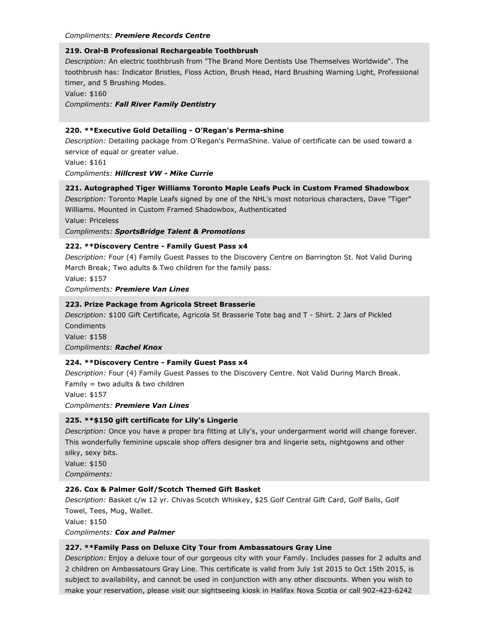#### *Compliments: Premiere Records Centre*

# **219. Oral-B Professional Rechargeable Toothbrush**

*Description:* An electric toothbrush from "The Brand More Dentists Use Themselves Worldwide". The toothbrush has: Indicator Bristles, Floss Action, Brush Head, Hard Brushing Warning Light, Professional timer, and 5 Brushing Modes.

Value: \$160

*Compliments: Fall River Family Dentistry*

### **220. \*\*Executive Gold Detailing - O'Regan's Perma-shine**

*Description:* Detailing package from O'Regan's PermaShine. Value of certificate can be used toward a service of equal or greater value.

Value: \$161

*Compliments: Hillcrest VW - Mike Currie*

# **221. Autographed Tiger Williams Toronto Maple Leafs Puck in Custom Framed Shadowbox**

*Description:* Toronto Maple Leafs signed by one of the NHL's most notorious characters, Dave "Tiger" Williams. Mounted in Custom Framed Shadowbox, Authenticated

Value: Priceless

*Compliments: SportsBridge Talent & Promotions*

# **222. \*\*Discovery Centre - Family Guest Pass x4**

*Description:* Four (4) Family Guest Passes to the Discovery Centre on Barrington St. Not Valid During March Break; Two adults & Two children for the family pass.

Value: \$157

*Compliments: Premiere Van Lines*

### **223. Prize Package from Agricola Street Brasserie**

*Description:* \$100 Gift Certificate, Agricola St Brasserie Tote bag and T - Shirt. 2 Jars of Pickled Condiments

Value: \$158 *Compliments: Rachel Knox*

# **224. \*\*Discovery Centre - Family Guest Pass x4**

*Description:* Four (4) Family Guest Passes to the Discovery Centre. Not Valid During March Break. Family = two adults  $&$  two children

Value: \$157

*Compliments: Premiere Van Lines*

# **225. \*\*\$150 gift certificate for Lily's Lingerie**

*Description:* Once you have a proper bra fitting at Lily's, your undergarment world will change forever. This wonderfully feminine upscale shop offers designer bra and lingerie sets, nightgowns and other silky, sexy bits.

Value: \$150 *Compliments:*

# **226. Cox & Palmer Golf/Scotch Themed Gift Basket**

*Description:* Basket c/w 12 yr. Chivas Scotch Whiskey, \$25 Golf Central Gift Card, Golf Balls, Golf Towel, Tees, Mug, Wallet.

Value: \$150

*Compliments: Cox and Palmer*

# **227. \*\*Family Pass on Deluxe City Tour from Ambassatours Gray Line**

*Description:* Enjoy a deluxe tour of our gorgeous city with your Family. Includes passes for 2 adults and 2 children on Ambassatours Gray Line. This certificate is valid from July 1st 2015 to Oct 15th 2015, is subject to availability, and cannot be used in conjunction with any other discounts. When you wish to make your reservation, please visit our sightseeing kiosk in Halifax Nova Scotia or call 902-423-6242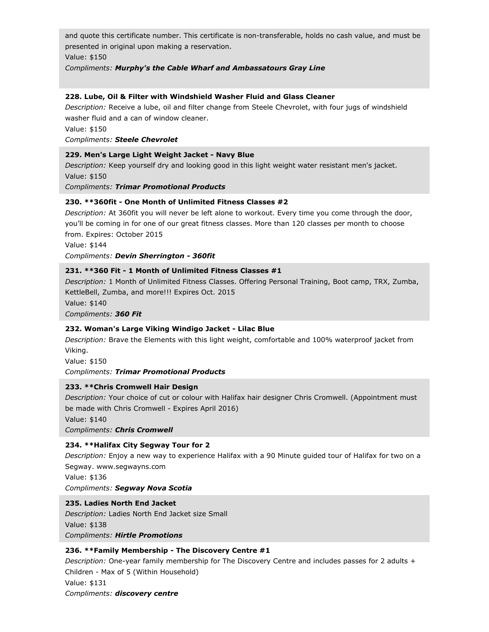and quote this certificate number. This certificate is non-transferable, holds no cash value, and must be presented in original upon making a reservation.

Value: \$150

*Compliments: Murphy's the Cable Wharf and Ambassatours Gray Line*

### **228. Lube, Oil & Filter with Windshield Washer Fluid and Glass Cleaner**

*Description:* Receive a lube, oil and filter change from Steele Chevrolet, with four jugs of windshield washer fluid and a can of window cleaner.

Value: \$150

#### *Compliments: Steele Chevrolet*

### **229. Men's Large Light Weight Jacket - Navy Blue**

*Description:* Keep yourself dry and looking good in this light weight water resistant men's jacket. Value: \$150

*Compliments: Trimar Promotional Products*

# **230. \*\*360fit - One Month of Unlimited Fitness Classes #2**

*Description:* At 360fit you will never be left alone to workout. Every time you come through the door, you'll be coming in for one of our great fitness classes. More than 120 classes per month to choose from. Expires: October 2015

Value: \$144

*Compliments: Devin Sherrington - 360fit*

# **231. \*\*360 Fit - 1 Month of Unlimited Fitness Classes #1**

*Description:* 1 Month of Unlimited Fitness Classes. Offering Personal Training, Boot camp, TRX, Zumba, KettleBell, Zumba, and more!!! Expires Oct. 2015

Value: \$140

*Compliments: 360 Fit*

# **232. Woman's Large Viking Windigo Jacket - Lilac Blue**

*Description:* Brave the Elements with this light weight, comfortable and 100% waterproof jacket from Viking.

Value: \$150

*Compliments: Trimar Promotional Products*

# **233. \*\*Chris Cromwell Hair Design**

*Description:* Your choice of cut or colour with Halifax hair designer Chris Cromwell. (Appointment must be made with Chris Cromwell - Expires April 2016)

Value: \$140

*Compliments: Chris Cromwell*

# **234. \*\*Halifax City Segway Tour for 2**

*Description:* Enjoy a new way to experience Halifax with a 90 Minute guided tour of Halifax for two on a Segway. www.segwayns.com

Value: \$136 *Compliments: Segway Nova Scotia*

# **235. Ladies North End Jacket**

*Description:* Ladies North End Jacket size Small Value: \$138 *Compliments: Hirtle Promotions*

# **236. \*\*Family Membership - The Discovery Centre #1**

*Description:* One-year family membership for The Discovery Centre and includes passes for 2 adults + Children - Max of 5 (Within Household) Value: \$131 *Compliments: discovery centre*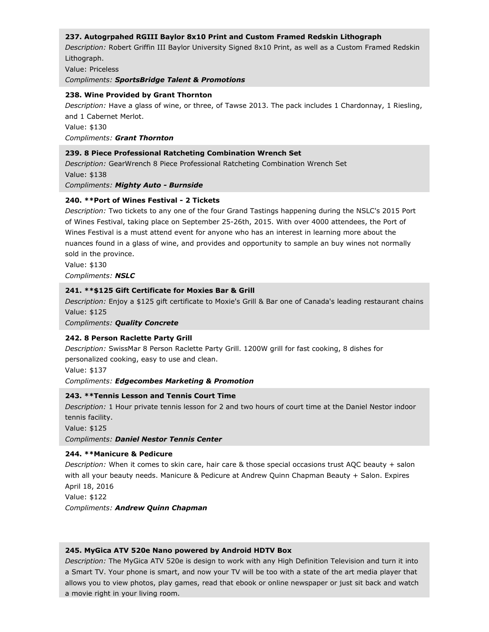# **237. Autogrpahed RGIII Baylor 8x10 Print and Custom Framed Redskin Lithograph**

*Description:* Robert Griffin III Baylor University Signed 8x10 Print, as well as a Custom Framed Redskin Lithograph.

Value: Priceless

*Compliments: SportsBridge Talent & Promotions*

#### **238. Wine Provided by Grant Thornton**

*Description:* Have a glass of wine, or three, of Tawse 2013. The pack includes 1 Chardonnay, 1 Riesling, and 1 Cabernet Merlot. Value: \$130 *Compliments: Grant Thornton*

### **239. 8 Piece Professional Ratcheting Combination Wrench Set**

*Description:* GearWrench 8 Piece Professional Ratcheting Combination Wrench Set Value: \$138 *Compliments: Mighty Auto - Burnside*

### **240. \*\*Port of Wines Festival - 2 Tickets**

*Description:* Two tickets to any one of the four Grand Tastings happening during the NSLC's 2015 Port of Wines Festival, taking place on September 25-26th, 2015. With over 4000 attendees, the Port of Wines Festival is a must attend event for anyone who has an interest in learning more about the nuances found in a glass of wine, and provides and opportunity to sample an buy wines not normally sold in the province.

Value: \$130 *Compliments: NSLC*

### **241. \*\*\$125 Gift Certificate for Moxies Bar & Grill**

*Description:* Enjoy a \$125 gift certificate to Moxie's Grill & Bar one of Canada's leading restaurant chains Value: \$125

*Compliments: Quality Concrete*

# **242. 8 Person Raclette Party Grill**

*Description:* SwissMar 8 Person Raclette Party Grill. 1200W grill for fast cooking, 8 dishes for personalized cooking, easy to use and clean.

Value: \$137

#### *Compliments: Edgecombes Marketing & Promotion*

# **243. \*\*Tennis Lesson and Tennis Court Time**

*Description:* 1 Hour private tennis lesson for 2 and two hours of court time at the Daniel Nestor indoor tennis facility.

Value: \$125

*Compliments: Daniel Nestor Tennis Center*

# **244. \*\*Manicure & Pedicure**

*Description:* When it comes to skin care, hair care & those special occasions trust AQC beauty + salon with all your beauty needs. Manicure & Pedicure at Andrew Quinn Chapman Beauty + Salon. Expires April 18, 2016

Value: \$122

*Compliments: Andrew Quinn Chapman*

#### **245. MyGica ATV 520e Nano powered by Android HDTV Box**

*Description:* The MyGica ATV 520e is design to work with any High Definition Television and turn it into a Smart TV. Your phone is smart, and now your TV will be too with a state of the art media player that allows you to view photos, play games, read that ebook or online newspaper or just sit back and watch a movie right in your living room.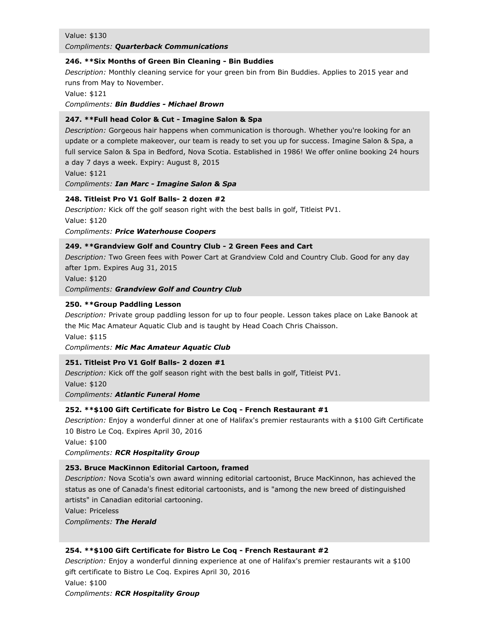#### Value: \$130

#### *Compliments: Quarterback Communications*

#### **246. \*\*Six Months of Green Bin Cleaning - Bin Buddies**

*Description:* Monthly cleaning service for your green bin from Bin Buddies. Applies to 2015 year and runs from May to November.

Value: \$121

*Compliments: Bin Buddies - Michael Brown*

### **247. \*\*Full head Color & Cut - Imagine Salon & Spa**

*Description:* Gorgeous hair happens when communication is thorough. Whether you're looking for an update or a complete makeover, our team is ready to set you up for success. Imagine Salon & Spa, a full service Salon & Spa in Bedford, Nova Scotia. Established in 1986! We offer online booking 24 hours a day 7 days a week. Expiry: August 8, 2015

Value: \$121

*Compliments: Ian Marc - Imagine Salon & Spa*

# **248. Titleist Pro V1 Golf Balls- 2 dozen #2**

*Description:* Kick off the golf season right with the best balls in golf, Titleist PV1. Value: \$120 *Compliments: Price Waterhouse Coopers*

# **249. \*\*Grandview Golf and Country Club - 2 Green Fees and Cart**

*Description:* Two Green fees with Power Cart at Grandview Cold and Country Club. Good for any day after 1pm. Expires Aug 31, 2015

Value: \$120

*Compliments: Grandview Golf and Country Club*

### **250. \*\*Group Paddling Lesson**

*Description:* Private group paddling lesson for up to four people. Lesson takes place on Lake Banook at the Mic Mac Amateur Aquatic Club and is taught by Head Coach Chris Chaisson.

Value: \$115

*Compliments: Mic Mac Amateur Aquatic Club*

# **251. Titleist Pro V1 Golf Balls- 2 dozen #1**

*Description:* Kick off the golf season right with the best balls in golf, Titleist PV1. Value: \$120 *Compliments: Atlantic Funeral Home*

# **252. \*\*\$100 Gift Certificate for Bistro Le Coq - French Restaurant #1**

*Description:* Enjoy a wonderful dinner at one of Halifax's premier restaurants with a \$100 Gift Certificate 10 Bistro Le Coq. Expires April 30, 2016

Value: \$100

*Compliments: RCR Hospitality Group*

# **253. Bruce MacKinnon Editorial Cartoon, framed**

*Description:* Nova Scotia's own award winning editorial cartoonist, Bruce MacKinnon, has achieved the status as one of Canada's finest editorial cartoonists, and is "among the new breed of distinguished artists" in Canadian editorial cartooning.

Value: Priceless

*Compliments: The Herald*

# **254. \*\*\$100 Gift Certificate for Bistro Le Coq - French Restaurant #2**

*Description:* Enjoy a wonderful dinning experience at one of Halifax's premier restaurants wit a \$100 gift certificate to Bistro Le Coq. Expires April 30, 2016 Value: \$100 *Compliments: RCR Hospitality Group*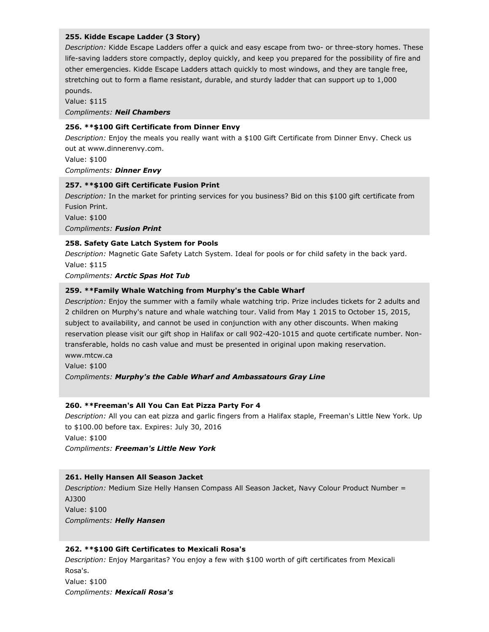### **255. Kidde Escape Ladder (3 Story)**

*Description:* Kidde Escape Ladders offer a quick and easy escape from two- or three-story homes. These life-saving ladders store compactly, deploy quickly, and keep you prepared for the possibility of fire and other emergencies. Kidde Escape Ladders attach quickly to most windows, and they are tangle free, stretching out to form a flame resistant, durable, and sturdy ladder that can support up to 1,000 pounds.

Value: \$115 *Compliments: Neil Chambers*

### **256. \*\*\$100 Gift Certificate from Dinner Envy**

*Description:* Enjoy the meals you really want with a \$100 Gift Certificate from Dinner Envy. Check us out at www.dinnerenvy.com.

Value: \$100 *Compliments: Dinner Envy*

#### **257. \*\*\$100 Gift Certificate Fusion Print**

*Description:* In the market for printing services for you business? Bid on this \$100 gift certificate from Fusion Print. Value: \$100 *Compliments: Fusion Print*

### **258. Safety Gate Latch System for Pools**

*Description:* Magnetic Gate Safety Latch System. Ideal for pools or for child safety in the back yard. Value: \$115

*Compliments: Arctic Spas Hot Tub*

### **259. \*\*Family Whale Watching from Murphy's the Cable Wharf**

*Description:* Enjoy the summer with a family whale watching trip. Prize includes tickets for 2 adults and 2 children on Murphy's nature and whale watching tour. Valid from May 1 2015 to October 15, 2015, subject to availability, and cannot be used in conjunction with any other discounts. When making reservation please visit our gift shop in Halifax or call 902-420-1015 and quote certificate number. Nontransferable, holds no cash value and must be presented in original upon making reservation. www.mtcw.ca

Value: \$100

*Compliments: Murphy's the Cable Wharf and Ambassatours Gray Line*

# **260. \*\*Freeman's All You Can Eat Pizza Party For 4**

*Description:* All you can eat pizza and garlic fingers from a Halifax staple, Freeman's Little New York. Up to \$100.00 before tax. Expires: July 30, 2016 Value: \$100

*Compliments: Freeman's Little New York*

#### **261. Helly Hansen All Season Jacket**

*Description:* Medium Size Helly Hansen Compass All Season Jacket, Navy Colour Product Number = AJ300 Value: \$100 *Compliments: Helly Hansen*

#### **262. \*\*\$100 Gift Certificates to Mexicali Rosa's**

*Description:* Enjoy Margaritas? You enjoy a few with \$100 worth of gift certificates from Mexicali Rosa's. Value: \$100 *Compliments: Mexicali Rosa's*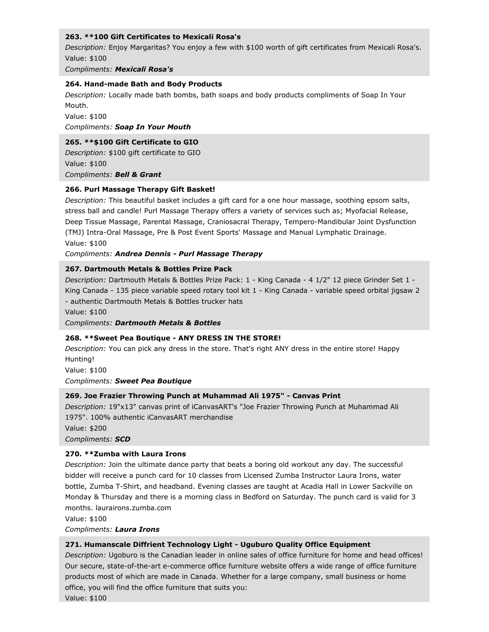# **263. \*\*100 Gift Certificates to Mexicali Rosa's**

*Description:* Enjoy Margaritas? You enjoy a few with \$100 worth of gift certificates from Mexicali Rosa's. Value: \$100

*Compliments: Mexicali Rosa's*

### **264. Hand-made Bath and Body Products**

*Description:* Locally made bath bombs, bath soaps and body products compliments of Soap In Your Mouth.

Value: \$100

*Compliments: Soap In Your Mouth*

### **265. \*\*\$100 Gift Certificate to GIO**

*Description:* \$100 gift certificate to GIO Value: \$100 *Compliments: Bell & Grant*

### **266. Purl Massage Therapy Gift Basket!**

*Description:* This beautiful basket includes a gift card for a one hour massage, soothing epsom salts, stress ball and candle! Purl Massage Therapy offers a variety of services such as; Myofacial Release, Deep Tissue Massage, Parental Massage, Craniosacral Therapy, Tempero-Mandibular Joint Dysfunction (TMJ) Intra-Oral Massage, Pre & Post Event Sports' Massage and Manual Lymphatic Drainage. Value: \$100

*Compliments: Andrea Dennis - Purl Massage Therapy*

### **267. Dartmouth Metals & Bottles Prize Pack**

*Description:* Dartmouth Metals & Bottles Prize Pack: 1 - King Canada - 4 1/2" 12 piece Grinder Set 1 - King Canada - 135 piece variable speed rotary tool kit 1 - King Canada - variable speed orbital jigsaw 2 - authentic Dartmouth Metals & Bottles trucker hats

Value: \$100

*Compliments: Dartmouth Metals & Bottles*

# **268. \*\*Sweet Pea Boutique - ANY DRESS IN THE STORE!**

*Description:* You can pick any dress in the store. That's right ANY dress in the entire store! Happy Hunting!

Value: \$100

*Compliments: Sweet Pea Boutique*

# **269. Joe Frazier Throwing Punch at Muhammad Ali 1975" - Canvas Print**

*Description:* 19"x13" canvas print of iCanvasART's "Joe Frazier Throwing Punch at Muhammad Ali 1975". 100% authentic iCanvasART merchandise

Value: \$200

*Compliments: SCD*

# **270. \*\*Zumba with Laura Irons**

*Description:* Join the ultimate dance party that beats a boring old workout any day. The successful bidder will receive a punch card for 10 classes from Licensed Zumba Instructor Laura Irons, water bottle, Zumba T-Shirt, and headband. Evening classes are taught at Acadia Hall in Lower Sackville on Monday & Thursday and there is a morning class in Bedford on Saturday. The punch card is valid for 3 months. laurairons.zumba.com

Value: \$100

*Compliments: Laura Irons*

# **271. Humanscale Diffrient Technology Light - Uguburo Quality Office Equipment**

*Description:* Ugoburo is the Canadian leader in online sales of office furniture for home and head offices! Our secure, state-of-the-art e-commerce office furniture website offers a wide range of office furniture products most of which are made in Canada. Whether for a large company, small business or home office, you will find the office furniture that suits you:

Value: \$100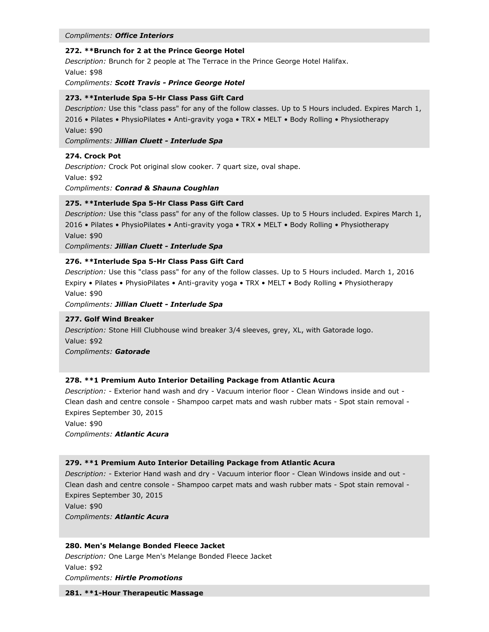#### *Compliments: Office Interiors*

#### **272. \*\*Brunch for 2 at the Prince George Hotel**

*Description:* Brunch for 2 people at The Terrace in the Prince George Hotel Halifax. Value: \$98

*Compliments: Scott Travis - Prince George Hotel*

#### **273. \*\*Interlude Spa 5-Hr Class Pass Gift Card**

*Description:* Use this "class pass" for any of the follow classes. Up to 5 Hours included. Expires March 1, 2016 • Pilates • PhysioPilates • Anti-gravity yoga • TRX • MELT • Body Rolling • Physiotherapy Value: \$90

*Compliments: Jillian Cluett - Interlude Spa*

### **274. Crock Pot**

*Description:* Crock Pot original slow cooker. 7 quart size, oval shape. Value: \$92 *Compliments: Conrad & Shauna Coughlan*

### **275. \*\*Interlude Spa 5-Hr Class Pass Gift Card**

*Description:* Use this "class pass" for any of the follow classes. Up to 5 Hours included. Expires March 1, 2016 • Pilates • PhysioPilates • Anti-gravity yoga • TRX • MELT • Body Rolling • Physiotherapy Value: \$90

*Compliments: Jillian Cluett - Interlude Spa*

# **276. \*\*Interlude Spa 5-Hr Class Pass Gift Card**

*Description:* Use this "class pass" for any of the follow classes. Up to 5 Hours included. March 1, 2016 Expiry • Pilates • PhysioPilates • Anti-gravity yoga • TRX • MELT • Body Rolling • Physiotherapy Value: \$90

*Compliments: Jillian Cluett - Interlude Spa*

#### **277. Golf Wind Breaker**

*Description:* Stone Hill Clubhouse wind breaker 3/4 sleeves, grey, XL, with Gatorade logo. Value: \$92

*Compliments: Gatorade*

#### **278. \*\*1 Premium Auto Interior Detailing Package from Atlantic Acura**

*Description:* - Exterior hand wash and dry - Vacuum interior floor - Clean Windows inside and out - Clean dash and centre console - Shampoo carpet mats and wash rubber mats - Spot stain removal - Expires September 30, 2015

Value: \$90 *Compliments: Atlantic Acura*

#### **279. \*\*1 Premium Auto Interior Detailing Package from Atlantic Acura**

*Description:* - Exterior Hand wash and dry - Vacuum interior floor - Clean Windows inside and out - Clean dash and centre console - Shampoo carpet mats and wash rubber mats - Spot stain removal - Expires September 30, 2015 Value: \$90 *Compliments: Atlantic Acura*

#### **280. Men's Melange Bonded Fleece Jacket**

*Description:* One Large Men's Melange Bonded Fleece Jacket Value: \$92 *Compliments: Hirtle Promotions*

**281. \*\*1-Hour Therapeutic Massage**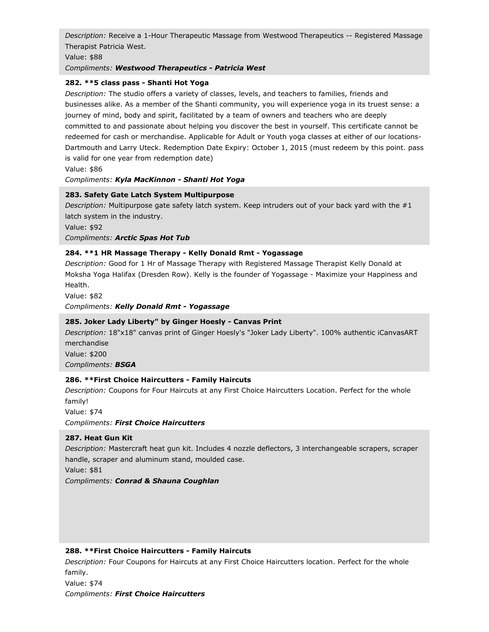*Description:* Receive a 1-Hour Therapeutic Massage from Westwood Therapeutics -- Registered Massage Therapist Patricia West.

Value: \$88

# *Compliments: Westwood Therapeutics - Patricia West*

# **282. \*\*5 class pass - Shanti Hot Yoga**

*Description:* The studio offers a variety of classes, levels, and teachers to families, friends and businesses alike. As a member of the Shanti community, you will experience yoga in its truest sense: a journey of mind, body and spirit, facilitated by a team of owners and teachers who are deeply committed to and passionate about helping you discover the best in yourself. This certificate cannot be redeemed for cash or merchandise. Applicable for Adult or Youth yoga classes at either of our locations-Dartmouth and Larry Uteck. Redemption Date Expiry: October 1, 2015 (must redeem by this point. pass is valid for one year from redemption date)

Value: \$86

# *Compliments: Kyla MacKinnon - Shanti Hot Yoga*

# **283. Safety Gate Latch System Multipurpose**

*Description:* Multipurpose gate safety latch system. Keep intruders out of your back yard with the #1 latch system in the industry.

Value: \$92

*Compliments: Arctic Spas Hot Tub*

# **284. \*\*1 HR Massage Therapy - Kelly Donald Rmt - Yogassage**

*Description:* Good for 1 Hr of Massage Therapy with Registered Massage Therapist Kelly Donald at Moksha Yoga Halifax (Dresden Row). Kelly is the founder of Yogassage - Maximize your Happiness and Health.

Value: \$82

*Compliments: Kelly Donald Rmt - Yogassage*

# **285. Joker Lady Liberty" by Ginger Hoesly - Canvas Print**

*Description:* 18"x18" canvas print of Ginger Hoesly's "Joker Lady Liberty". 100% authentic iCanvasART merchandise Value: \$200

*Compliments: BSGA*

# **286. \*\*First Choice Haircutters - Family Haircuts**

*Description:* Coupons for Four Haircuts at any First Choice Haircutters Location. Perfect for the whole family!

Value: \$74

*Compliments: First Choice Haircutters*

# **287. Heat Gun Kit**

*Description:* Mastercraft heat gun kit. Includes 4 nozzle deflectors, 3 interchangeable scrapers, scraper handle, scraper and aluminum stand, moulded case.

Value: \$81

*Compliments: Conrad & Shauna Coughlan*

# **288. \*\*First Choice Haircutters - Family Haircuts**

*Description:* Four Coupons for Haircuts at any First Choice Haircutters location. Perfect for the whole family.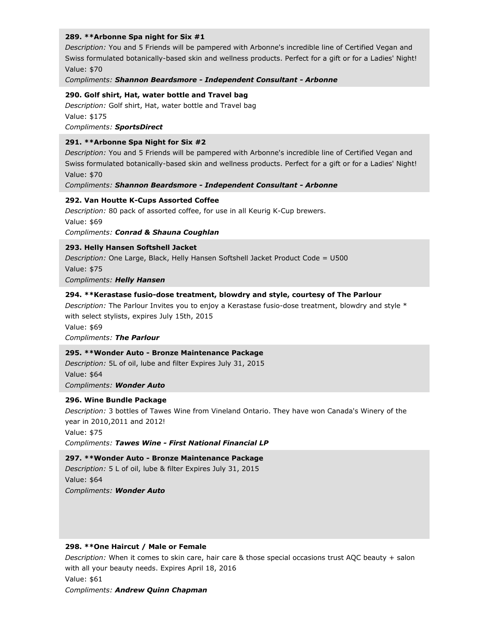#### **289. \*\*Arbonne Spa night for Six #1**

*Description:* You and 5 Friends will be pampered with Arbonne's incredible line of Certified Vegan and Swiss formulated botanically-based skin and wellness products. Perfect for a gift or for a Ladies' Night! Value: \$70

*Compliments: Shannon Beardsmore - Independent Consultant - Arbonne*

#### **290. Golf shirt, Hat, water bottle and Travel bag**

*Description:* Golf shirt, Hat, water bottle and Travel bag Value: \$175 *Compliments: SportsDirect*

### **291. \*\*Arbonne Spa Night for Six #2**

*Description:* You and 5 Friends will be pampered with Arbonne's incredible line of Certified Vegan and Swiss formulated botanically-based skin and wellness products. Perfect for a gift or for a Ladies' Night! Value: \$70

*Compliments: Shannon Beardsmore - Independent Consultant - Arbonne*

#### **292. Van Houtte K-Cups Assorted Coffee**

*Description:* 80 pack of assorted coffee, for use in all Keurig K-Cup brewers. Value: \$69 *Compliments: Conrad & Shauna Coughlan*

### **293. Helly Hansen Softshell Jacket**

*Description:* One Large, Black, Helly Hansen Softshell Jacket Product Code = U500 Value: \$75 *Compliments: Helly Hansen*

# **294. \*\*Kerastase fusio-dose treatment, blowdry and style, courtesy of The Parlour**

*Description:* The Parlour Invites you to enjoy a Kerastase fusio-dose treatment, blowdry and style \* with select stylists, expires July 15th, 2015 Value: \$69

*Compliments: The Parlour*

#### **295. \*\*Wonder Auto - Bronze Maintenance Package**

*Description:* 5L of oil, lube and filter Expires July 31, 2015 Value: \$64 *Compliments: Wonder Auto*

#### **296. Wine Bundle Package**

*Description:* 3 bottles of Tawes Wine from Vineland Ontario. They have won Canada's Winery of the year in 2010,2011 and 2012! Value: \$75 *Compliments: Tawes Wine - First National Financial LP*

**297. \*\*Wonder Auto - Bronze Maintenance Package** *Description:* 5 L of oil, lube & filter Expires July 31, 2015 Value: \$64 *Compliments: Wonder Auto*

#### **298. \*\*One Haircut / Male or Female**

*Description:* When it comes to skin care, hair care & those special occasions trust AQC beauty + salon with all your beauty needs. Expires April 18, 2016 Value: \$61 *Compliments: Andrew Quinn Chapman*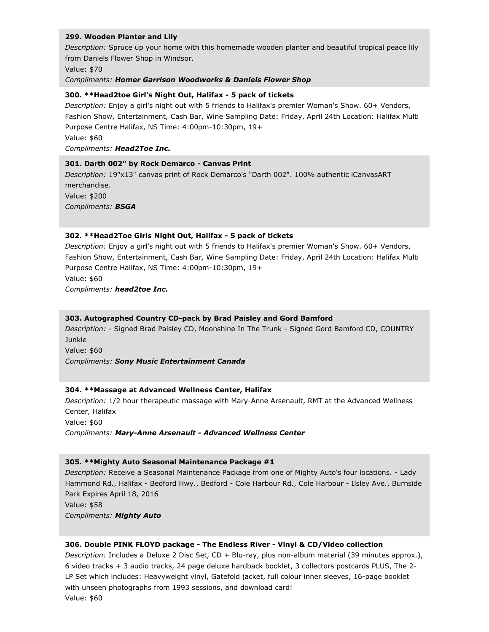#### **299. Wooden Planter and Lily**

*Description:* Spruce up your home with this homemade wooden planter and beautiful tropical peace lily from Daniels Flower Shop in Windsor.

Value: \$70

#### *Compliments: Homer Garrison Woodworks & Daniels Flower Shop*

### **300. \*\*Head2toe Girl's Night Out, Halifax - 5 pack of tickets**

*Description:* Enjoy a girl's night out with 5 friends to Halifax's premier Woman's Show. 60+ Vendors, Fashion Show, Entertainment, Cash Bar, Wine Sampling Date: Friday, April 24th Location: Halifax Multi Purpose Centre Halifax, NS Time: 4:00pm-10:30pm, 19+

Value: \$60

### *Compliments: Head2Toe Inc.*

### **301. Darth 002" by Rock Demarco - Canvas Print**

*Description:* 19"x13" canvas print of Rock Demarco's "Darth 002". 100% authentic iCanvasART merchandise. Value: \$200 *Compliments: BSGA*

### **302. \*\*Head2Toe Girls Night Out, Halifax - 5 pack of tickets**

*Description:* Enjoy a girl's night out with 5 friends to Halifax's premier Woman's Show. 60+ Vendors, Fashion Show, Entertainment, Cash Bar, Wine Sampling Date: Friday, April 24th Location: Halifax Multi Purpose Centre Halifax, NS Time: 4:00pm-10:30pm, 19+ Value: \$60 *Compliments: head2toe Inc.*

#### **303. Autographed Country CD-pack by Brad Paisley and Gord Bamford**

*Description:* - Signed Brad Paisley CD, Moonshine In The Trunk - Signed Gord Bamford CD, COUNTRY Junkie

Value: \$60

*Compliments: Sony Music Entertainment Canada*

# **304. \*\*Massage at Advanced Wellness Center, Halifax**

*Description:* 1/2 hour therapeutic massage with Mary-Anne Arsenault, RMT at the Advanced Wellness Center, Halifax Value: \$60

*Compliments: Mary-Anne Arsenault - Advanced Wellness Center*

#### **305. \*\*Mighty Auto Seasonal Maintenance Package #1**

*Description:* Receive a Seasonal Maintenance Package from one of Mighty Auto's four locations. - Lady Hammond Rd., Halifax - Bedford Hwy., Bedford - Cole Harbour Rd., Cole Harbour - Ilsley Ave., Burnside Park Expires April 18, 2016 Value: \$58 *Compliments: Mighty Auto*

#### **306. Double PINK FLOYD package - The Endless River - Vinyl & CD/Video collection**

*Description:* Includes a Deluxe 2 Disc Set, CD + Blu-ray, plus non-album material (39 minutes approx.), 6 video tracks + 3 audio tracks, 24 page deluxe hardback booklet, 3 collectors postcards PLUS, The 2- LP Set which includes: Heavyweight vinyl, Gatefold jacket, full colour inner sleeves, 16-page booklet with unseen photographs from 1993 sessions, and download card! Value: \$60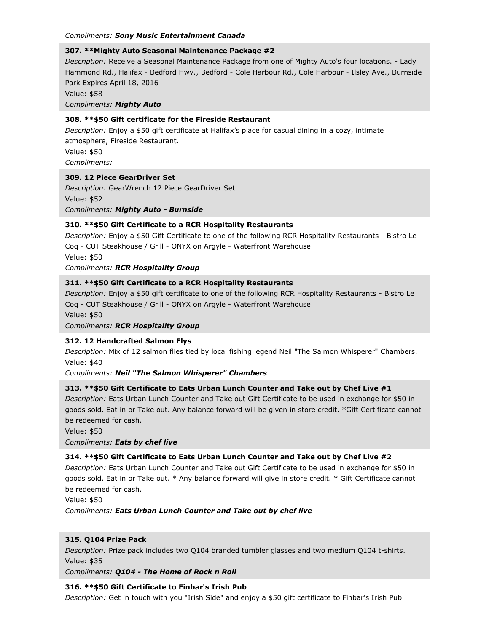#### *Compliments: Sony Music Entertainment Canada*

# **307. \*\*Mighty Auto Seasonal Maintenance Package #2**

*Description:* Receive a Seasonal Maintenance Package from one of Mighty Auto's four locations. - Lady Hammond Rd., Halifax - Bedford Hwy., Bedford - Cole Harbour Rd., Cole Harbour - Ilsley Ave., Burnside Park Expires April 18, 2016

Value: \$58

*Compliments: Mighty Auto*

# **308. \*\*\$50 Gift certificate for the Fireside Restaurant**

*Description:* Enjoy a \$50 gift certificate at Halifax's place for casual dining in a cozy, intimate atmosphere, Fireside Restaurant.

Value: \$50

*Compliments:*

### **309. 12 Piece GearDriver Set**

*Description:* GearWrench 12 Piece GearDriver Set Value: \$52 *Compliments: Mighty Auto - Burnside*

# **310. \*\*\$50 Gift Certificate to a RCR Hospitality Restaurants**

*Description:* Enjoy a \$50 Gift Certificate to one of the following RCR Hospitality Restaurants - Bistro Le Coq - CUT Steakhouse / Grill - ONYX on Argyle - Waterfront Warehouse

Value: \$50

*Compliments: RCR Hospitality Group*

# **311. \*\*\$50 Gift Certificate to a RCR Hospitality Restaurants**

*Description:* Enjoy a \$50 gift certificate to one of the following RCR Hospitality Restaurants - Bistro Le Coq - CUT Steakhouse / Grill - ONYX on Argyle - Waterfront Warehouse Value: \$50

*Compliments: RCR Hospitality Group*

# **312. 12 Handcrafted Salmon Flys**

*Description:* Mix of 12 salmon flies tied by local fishing legend Neil "The Salmon Whisperer" Chambers. Value: \$40

*Compliments: Neil "The Salmon Whisperer" Chambers*

# **313. \*\*\$50 Gift Certificate to Eats Urban Lunch Counter and Take out by Chef Live #1**

*Description:* Eats Urban Lunch Counter and Take out Gift Certificate to be used in exchange for \$50 in goods sold. Eat in or Take out. Any balance forward will be given in store credit. \*Gift Certificate cannot be redeemed for cash.

Value: \$50

*Compliments: Eats by chef live*

# **314. \*\*\$50 Gift Certificate to Eats Urban Lunch Counter and Take out by Chef Live #2**

*Description:* Eats Urban Lunch Counter and Take out Gift Certificate to be used in exchange for \$50 in goods sold. Eat in or Take out. \* Any balance forward will give in store credit. \* Gift Certificate cannot be redeemed for cash.

Value: \$50

*Compliments: Eats Urban Lunch Counter and Take out by chef live*

# **315. Q104 Prize Pack**

*Description:* Prize pack includes two Q104 branded tumbler glasses and two medium Q104 t-shirts. Value: \$35

*Compliments: Q104 - The Home of Rock n Roll*

# **316. \*\*\$50 Gift Certificate to Finbar's Irish Pub**

*Description:* Get in touch with you "Irish Side" and enjoy a \$50 gift certificate to Finbar's Irish Pub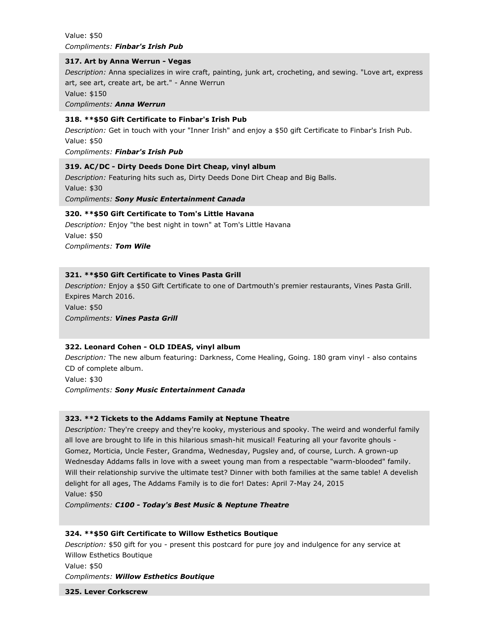Value: \$50 *Compliments: Finbar's Irish Pub*

#### **317. Art by Anna Werrun - Vegas**

*Description:* Anna specializes in wire craft, painting, junk art, crocheting, and sewing. "Love art, express art, see art, create art, be art." - Anne Werrun

Value: \$150

*Compliments: Anna Werrun*

### **318. \*\*\$50 Gift Certificate to Finbar's Irish Pub**

*Description:* Get in touch with your "Inner Irish" and enjoy a \$50 gift Certificate to Finbar's Irish Pub. Value: \$50

*Compliments: Finbar's Irish Pub*

# **319. AC/DC - Dirty Deeds Done Dirt Cheap, vinyl album**

*Description:* Featuring hits such as, Dirty Deeds Done Dirt Cheap and Big Balls. Value: \$30 *Compliments: Sony Music Entertainment Canada*

### **320. \*\*\$50 Gift Certificate to Tom's Little Havana**

*Description:* Enjoy "the best night in town" at Tom's Little Havana Value: \$50 *Compliments: Tom Wile*

# **321. \*\*\$50 Gift Certificate to Vines Pasta Grill**

*Description:* Enjoy a \$50 Gift Certificate to one of Dartmouth's premier restaurants, Vines Pasta Grill. Expires March 2016.

Value: \$50 *Compliments: Vines Pasta Grill*

# **322. Leonard Cohen - OLD IDEAS, vinyl album**

*Description:* The new album featuring: Darkness, Come Healing, Going. 180 gram vinyl - also contains CD of complete album.

Value: \$30

*Compliments: Sony Music Entertainment Canada*

# **323. \*\*2 Tickets to the Addams Family at Neptune Theatre**

*Description:* They're creepy and they're kooky, mysterious and spooky. The weird and wonderful family all love are brought to life in this hilarious smash-hit musical! Featuring all your favorite ghouls - Gomez, Morticia, Uncle Fester, Grandma, Wednesday, Pugsley and, of course, Lurch. A grown-up Wednesday Addams falls in love with a sweet young man from a respectable "warm-blooded" family. Will their relationship survive the ultimate test? Dinner with both families at the same table! A develish delight for all ages, The Addams Family is to die for! Dates: April 7-May 24, 2015 Value: \$50

*Compliments: C100 - Today's Best Music & Neptune Theatre*

# **324. \*\*\$50 Gift Certificate to Willow Esthetics Boutique**

*Description:* \$50 gift for you - present this postcard for pure joy and indulgence for any service at Willow Esthetics Boutique

Value: \$50

*Compliments: Willow Esthetics Boutique*

**325. Lever Corkscrew**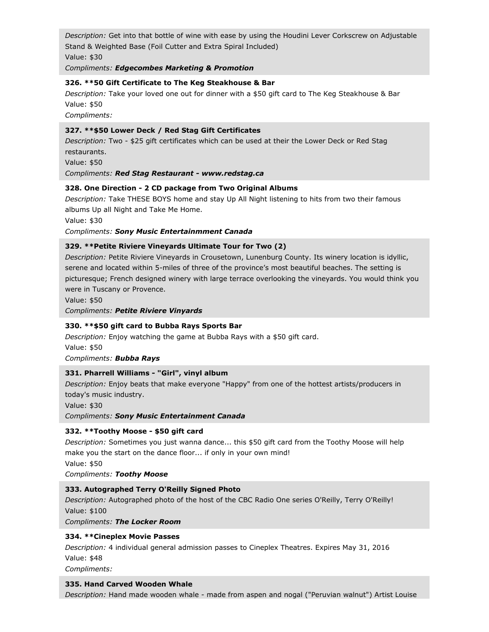*Description:* Get into that bottle of wine with ease by using the Houdini Lever Corkscrew on Adjustable Stand & Weighted Base (Foil Cutter and Extra Spiral Included) Value: \$30

*Compliments: Edgecombes Marketing & Promotion*

### **326. \*\*50 Gift Certificate to The Keg Steakhouse & Bar**

*Description:* Take your loved one out for dinner with a \$50 gift card to The Keg Steakhouse & Bar Value: \$50

*Compliments:*

# **327. \*\*\$50 Lower Deck / Red Stag Gift Certificates**

*Description:* Two - \$25 gift certificates which can be used at their the Lower Deck or Red Stag restaurants.

Value: \$50

*Compliments: Red Stag Restaurant - www.redstag.ca*

# **328. One Direction - 2 CD package from Two Original Albums**

*Description:* Take THESE BOYS home and stay Up All Night listening to hits from two their famous albums Up all Night and Take Me Home.

Value: \$30

### *Compliments: Sony Music Entertainmment Canada*

# **329. \*\*Petite Riviere Vineyards Ultimate Tour for Two (2)**

*Description:* Petite Riviere Vineyards in Crousetown, Lunenburg County. Its winery location is idyllic, serene and located within 5-miles of three of the province's most beautiful beaches. The setting is picturesque; French designed winery with large terrace overlooking the vineyards. You would think you were in Tuscany or Provence.

Value: \$50

*Compliments: Petite Riviere Vinyards*

# **330. \*\*\$50 gift card to Bubba Rays Sports Bar**

*Description:* Enjoy watching the game at Bubba Rays with a \$50 gift card. Value: \$50 *Compliments: Bubba Rays*

# **331. Pharrell Williams - "Girl", vinyl album**

*Description:* Enjoy beats that make everyone "Happy" from one of the hottest artists/producers in today's music industry.

Value: \$30

*Compliments: Sony Music Entertainment Canada*

# **332. \*\*Toothy Moose - \$50 gift card**

*Description:* Sometimes you just wanna dance... this \$50 gift card from the Toothy Moose will help make you the start on the dance floor... if only in your own mind!

Value: \$50

*Compliments: Toothy Moose*

# **333. Autographed Terry O'Reilly Signed Photo**

*Description:* Autographed photo of the host of the CBC Radio One series O'Reilly, Terry O'Reilly! Value: \$100

*Compliments: The Locker Room*

# **334. \*\*Cineplex Movie Passes**

*Description:* 4 individual general admission passes to Cineplex Theatres. Expires May 31, 2016 Value: \$48

*Compliments:*

#### **335. Hand Carved Wooden Whale**

*Description:* Hand made wooden whale - made from aspen and nogal ("Peruvian walnut") Artist Louise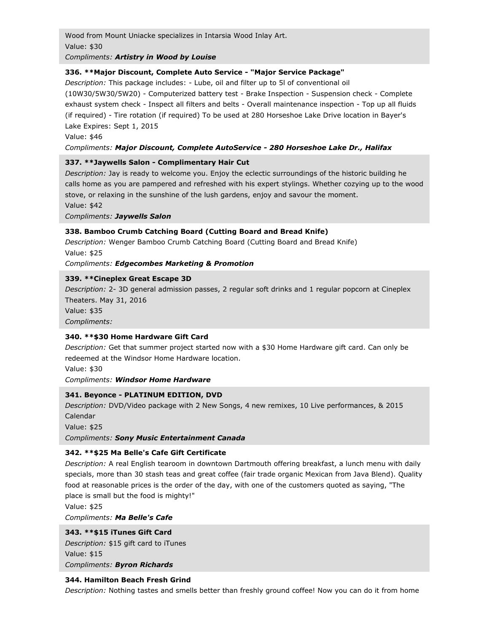Wood from Mount Uniacke specializes in Intarsia Wood Inlay Art. Value: \$30

### *Compliments: Artistry in Wood by Louise*

# **336. \*\*Major Discount, Complete Auto Service - "Major Service Package"**

*Description:* This package includes: - Lube, oil and filter up to 5l of conventional oil (10W30/5W30/5W20) - Computerized battery test - Brake Inspection - Suspension check - Complete exhaust system check - Inspect all filters and belts - Overall maintenance inspection - Top up all fluids (if required) - Tire rotation (if required) To be used at 280 Horseshoe Lake Drive location in Bayer's Lake Expires: Sept 1, 2015

Value: \$46

### *Compliments: Major Discount, Complete AutoService - 280 Horseshoe Lake Dr., Halifax*

### **337. \*\*Jaywells Salon - Complimentary Hair Cut**

*Description:* Jay is ready to welcome you. Enjoy the eclectic surroundings of the historic building he calls home as you are pampered and refreshed with his expert stylings. Whether cozying up to the wood stove, or relaxing in the sunshine of the lush gardens, enjoy and savour the moment.

Value: \$42

*Compliments: Jaywells Salon*

### **338. Bamboo Crumb Catching Board (Cutting Board and Bread Knife)**

*Description:* Wenger Bamboo Crumb Catching Board (Cutting Board and Bread Knife) Value: \$25

*Compliments: Edgecombes Marketing & Promotion*

### **339. \*\*Cineplex Great Escape 3D**

*Description:* 2- 3D general admission passes, 2 regular soft drinks and 1 regular popcorn at Cineplex Theaters. May 31, 2016

Value: \$35

*Compliments:*

# **340. \*\*\$30 Home Hardware Gift Card**

*Description:* Get that summer project started now with a \$30 Home Hardware gift card. Can only be redeemed at the Windsor Home Hardware location.

Value: \$30

*Compliments: Windsor Home Hardware*

# **341. Beyonce - PLATINUM EDITION, DVD**

*Description:* DVD/Video package with 2 New Songs, 4 new remixes, 10 Live performances, & 2015 Calendar

Value: \$25

*Compliments: Sony Music Entertainment Canada*

# **342. \*\*\$25 Ma Belle's Cafe Gift Certificate**

*Description:* A real English tearoom in downtown Dartmouth offering breakfast, a lunch menu with daily specials, more than 30 stash teas and great coffee (fair trade organic Mexican from Java Blend). Quality food at reasonable prices is the order of the day, with one of the customers quoted as saying, "The place is small but the food is mighty!"

Value: \$25

*Compliments: Ma Belle's Cafe*

# **343. \*\*\$15 iTunes Gift Card**

*Description:* \$15 gift card to iTunes Value: \$15 *Compliments: Byron Richards*

#### **344. Hamilton Beach Fresh Grind**

*Description:* Nothing tastes and smells better than freshly ground coffee! Now you can do it from home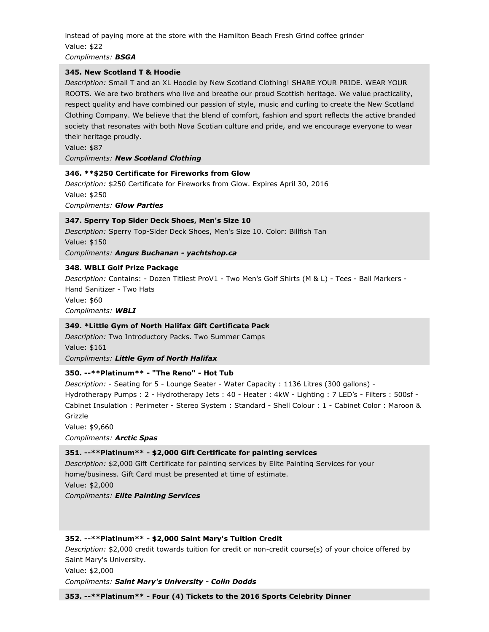instead of paying more at the store with the Hamilton Beach Fresh Grind coffee grinder Value: \$22

*Compliments: BSGA*

#### **345. New Scotland T & Hoodie**

*Description:* Small T and an XL Hoodie by New Scotland Clothing! SHARE YOUR PRIDE. WEAR YOUR ROOTS. We are two brothers who live and breathe our proud Scottish heritage. We value practicality, respect quality and have combined our passion of style, music and curling to create the New Scotland Clothing Company. We believe that the blend of comfort, fashion and sport reflects the active branded society that resonates with both Nova Scotian culture and pride, and we encourage everyone to wear their heritage proudly.

Value: \$87

*Compliments: New Scotland Clothing*

### **346. \*\*\$250 Certificate for Fireworks from Glow**

*Description:* \$250 Certificate for Fireworks from Glow. Expires April 30, 2016 Value: \$250 *Compliments: Glow Parties*

### **347. Sperry Top Sider Deck Shoes, Men's Size 10**

*Description:* Sperry Top-Sider Deck Shoes, Men's Size 10. Color: Billfish Tan Value: \$150 *Compliments: Angus Buchanan - yachtshop.ca*

### **348. WBLI Golf Prize Package**

*Description:* Contains: - Dozen Titliest ProV1 - Two Men's Golf Shirts (M & L) - Tees - Ball Markers - Hand Sanitizer - Two Hats Value: \$60 *Compliments: WBLI*

# **349. \*Little Gym of North Halifax Gift Certificate Pack**

*Description:* Two Introductory Packs. Two Summer Camps Value: \$161 *Compliments: Little Gym of North Halifax*

# **350. --\*\*Platinum\*\* - "The Reno" - Hot Tub**

*Description:* - Seating for 5 - Lounge Seater - Water Capacity : 1136 Litres (300 gallons) - Hydrotherapy Pumps : 2 - Hydrotherapy Jets : 40 - Heater : 4kW - Lighting : 7 LED's - Filters : 500sf - Cabinet Insulation : Perimeter - Stereo System : Standard - Shell Colour : 1 - Cabinet Color : Maroon & Grizzle

Value: \$9,660

*Compliments: Arctic Spas*

# **351. --\*\*Platinum\*\* - \$2,000 Gift Certificate for painting services**

*Description:* \$2,000 Gift Certificate for painting services by Elite Painting Services for your home/business. Gift Card must be presented at time of estimate. Value: \$2,000

*Compliments: Elite Painting Services*

#### **352. --\*\*Platinum\*\* - \$2,000 Saint Mary's Tuition Credit**

*Description:* \$2,000 credit towards tuition for credit or non-credit course(s) of your choice offered by Saint Mary's University.

Value: \$2,000 *Compliments: Saint Mary's University - Colin Dodds*

**353. --\*\*Platinum\*\* - Four (4) Tickets to the 2016 Sports Celebrity Dinner**